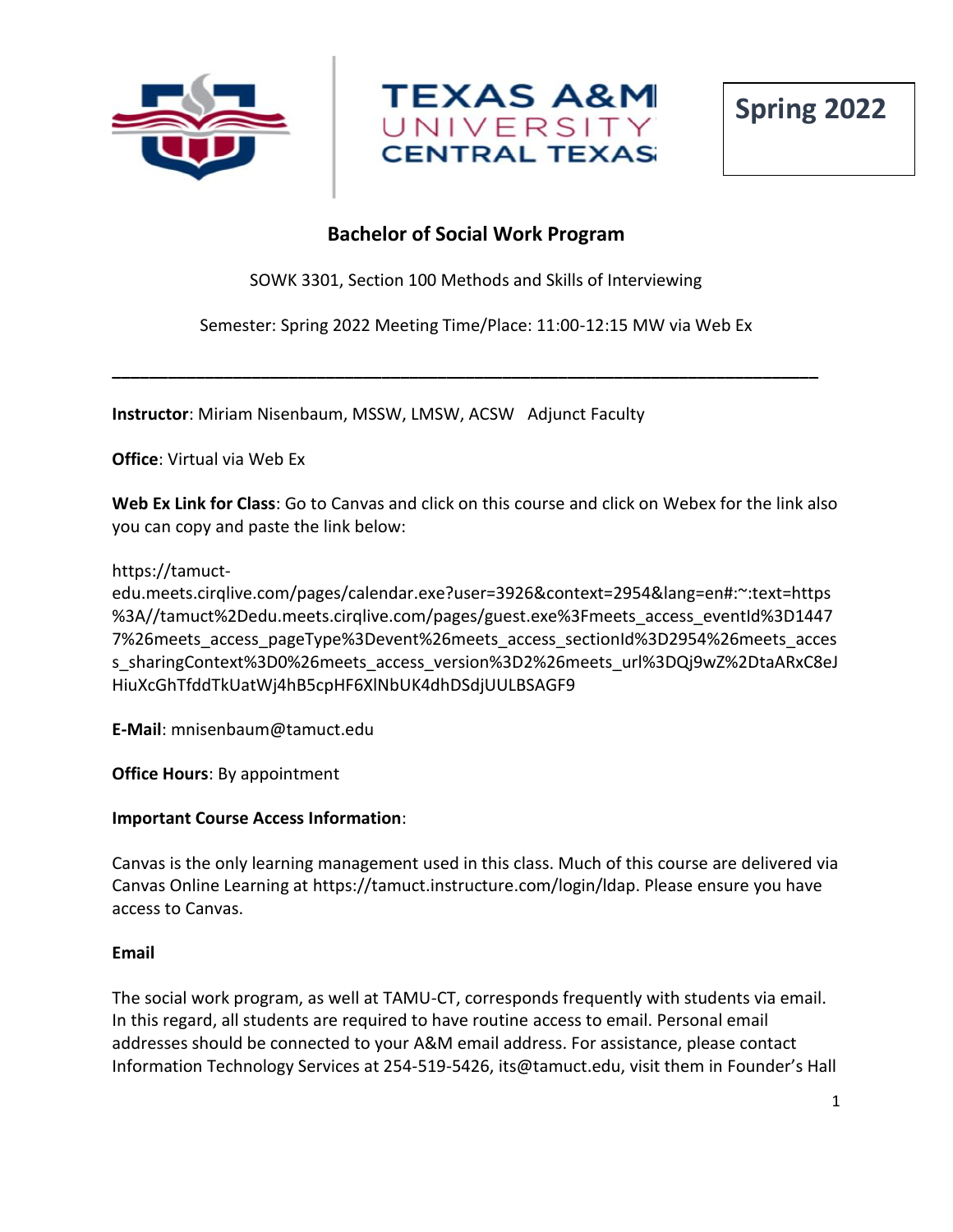





# **Bachelor of Social Work Program**

SOWK 3301, Section 100 Methods and Skills of Interviewing

Semester: Spring 2022 Meeting Time/Place: 11:00-12:15 MW via Web Ex

**\_\_\_\_\_\_\_\_\_\_\_\_\_\_\_\_\_\_\_\_\_\_\_\_\_\_\_\_\_\_\_\_\_\_\_\_\_\_\_\_\_\_\_\_\_\_\_\_\_\_\_\_\_\_\_\_\_\_\_\_\_\_\_\_\_\_\_\_\_\_\_\_\_\_\_\_**

**Instructor**: Miriam Nisenbaum, MSSW, LMSW, ACSW Adjunct Faculty

**Office**: Virtual via Web Ex

**Web Ex Link for Class**: Go to Canvas and click on this course and click on Webex for the link also you can copy and paste the link below:

https://tamuct-

edu.meets.cirqlive.com/pages/calendar.exe?user=3926&context=2954&lang=en#:~:text=https %3A//tamuct%2Dedu.meets.cirqlive.com/pages/guest.exe%3Fmeets\_access\_eventId%3D1447 7%26meets access pageType%3Devent%26meets access sectionId%3D2954%26meets acces s sharingContext%3D0%26meets access version%3D2%26meets url%3DQj9wZ%2DtaARxC8eJ HiuXcGhTfddTkUatWj4hB5cpHF6XlNbUK4dhDSdjUULBSAGF9

**E-Mail**: mnisenbaum@tamuct.edu

**Office Hours**: By appointment

#### **Important Course Access Information**:

Canvas is the only learning management used in this class. Much of this course are delivered via Canvas Online Learning at https://tamuct.instructure.com/login/ldap. Please ensure you have access to Canvas.

#### **Email**

The social work program, as well at TAMU-CT, corresponds frequently with students via email. In this regard, all students are required to have routine access to email. Personal email addresses should be connected to your A&M email address. For assistance, please contact Information Technology Services at 254-519-5426, its@tamuct.edu, visit them in Founder's Hall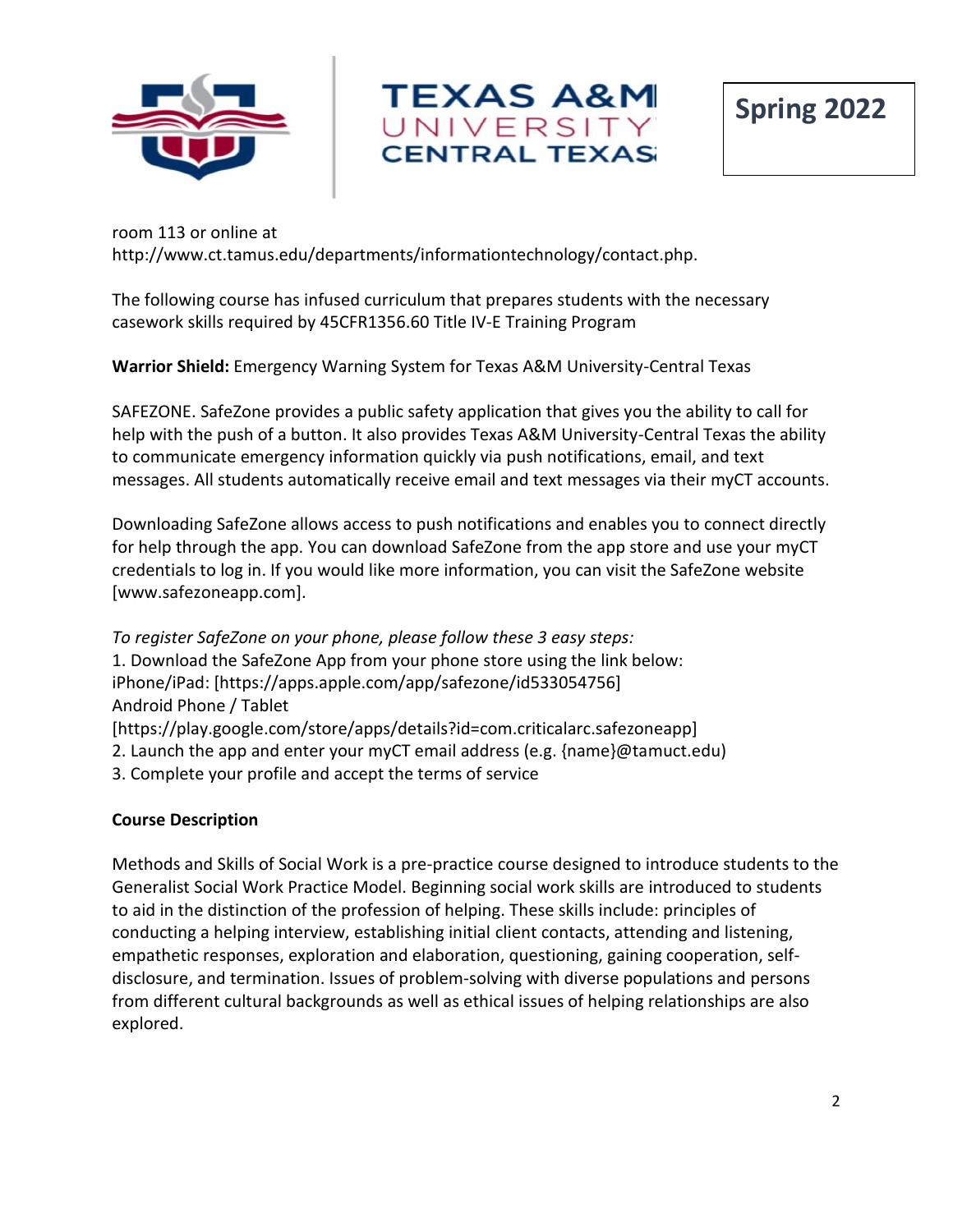



room 113 or online at http://www.ct.tamus.edu/departments/informationtechnology/contact.php.

The following course has infused curriculum that prepares students with the necessary casework skills required by 45CFR1356.60 Title IV-E Training Program

**Warrior Shield:** Emergency Warning System for Texas A&M University-Central Texas

SAFEZONE. SafeZone provides a public safety application that gives you the ability to call for help with the push of a button. It also provides Texas A&M University-Central Texas the ability to communicate emergency information quickly via push notifications, email, and text messages. All students automatically receive email and text messages via their myCT accounts.

Downloading SafeZone allows access to push notifications and enables you to connect directly for help through the app. You can download SafeZone from the app store and use your myCT credentials to log in. If you would like more information, you can visit the SafeZone website [www.safezoneapp.com].

*To register SafeZone on your phone, please follow these 3 easy steps:*  1. Download the SafeZone App from your phone store using the link below: iPhone/iPad: [https://apps.apple.com/app/safezone/id533054756] Android Phone / Tablet [https://play.google.com/store/apps/details?id=com.criticalarc.safezoneapp] 2. Launch the app and enter your myCT email address (e.g. {name}@tamuct.edu) 3. Complete your profile and accept the terms of service

## **Course Description**

Methods and Skills of Social Work is a pre-practice course designed to introduce students to the Generalist Social Work Practice Model. Beginning social work skills are introduced to students to aid in the distinction of the profession of helping. These skills include: principles of conducting a helping interview, establishing initial client contacts, attending and listening, empathetic responses, exploration and elaboration, questioning, gaining cooperation, selfdisclosure, and termination. Issues of problem-solving with diverse populations and persons from different cultural backgrounds as well as ethical issues of helping relationships are also explored.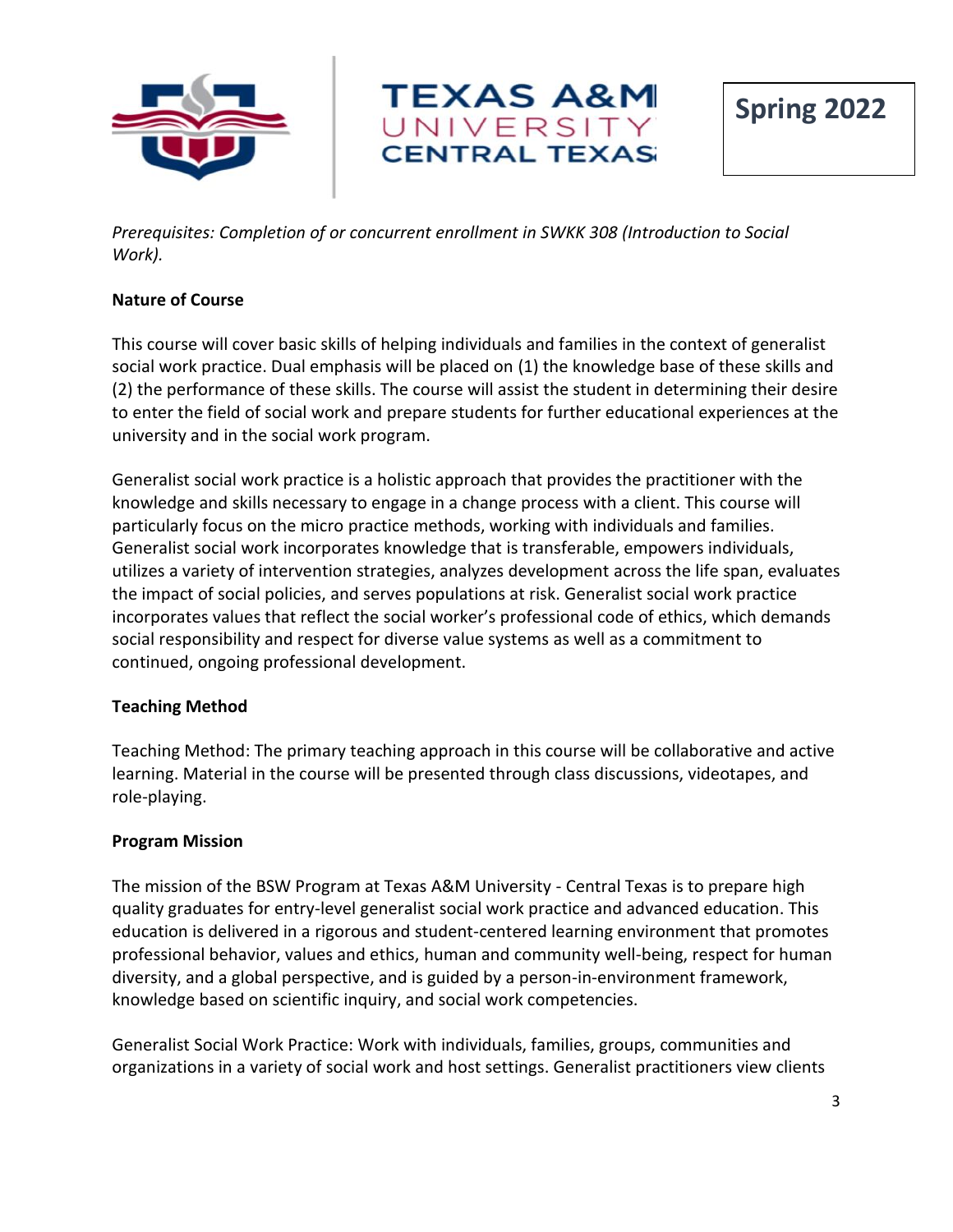



*Prerequisites: Completion of or concurrent enrollment in SWKK 308 (Introduction to Social Work).*

## **Nature of Course**

This course will cover basic skills of helping individuals and families in the context of generalist social work practice. Dual emphasis will be placed on (1) the knowledge base of these skills and (2) the performance of these skills. The course will assist the student in determining their desire to enter the field of social work and prepare students for further educational experiences at the university and in the social work program.

Generalist social work practice is a holistic approach that provides the practitioner with the knowledge and skills necessary to engage in a change process with a client. This course will particularly focus on the micro practice methods, working with individuals and families. Generalist social work incorporates knowledge that is transferable, empowers individuals, utilizes a variety of intervention strategies, analyzes development across the life span, evaluates the impact of social policies, and serves populations at risk. Generalist social work practice incorporates values that reflect the social worker's professional code of ethics, which demands social responsibility and respect for diverse value systems as well as a commitment to continued, ongoing professional development.

## **Teaching Method**

Teaching Method: The primary teaching approach in this course will be collaborative and active learning. Material in the course will be presented through class discussions, videotapes, and role-playing.

## **Program Mission**

The mission of the BSW Program at Texas A&M University - Central Texas is to prepare high quality graduates for entry-level generalist social work practice and advanced education. This education is delivered in a rigorous and student-centered learning environment that promotes professional behavior, values and ethics, human and community well-being, respect for human diversity, and a global perspective, and is guided by a person-in-environment framework, knowledge based on scientific inquiry, and social work competencies.

Generalist Social Work Practice: Work with individuals, families, groups, communities and organizations in a variety of social work and host settings. Generalist practitioners view clients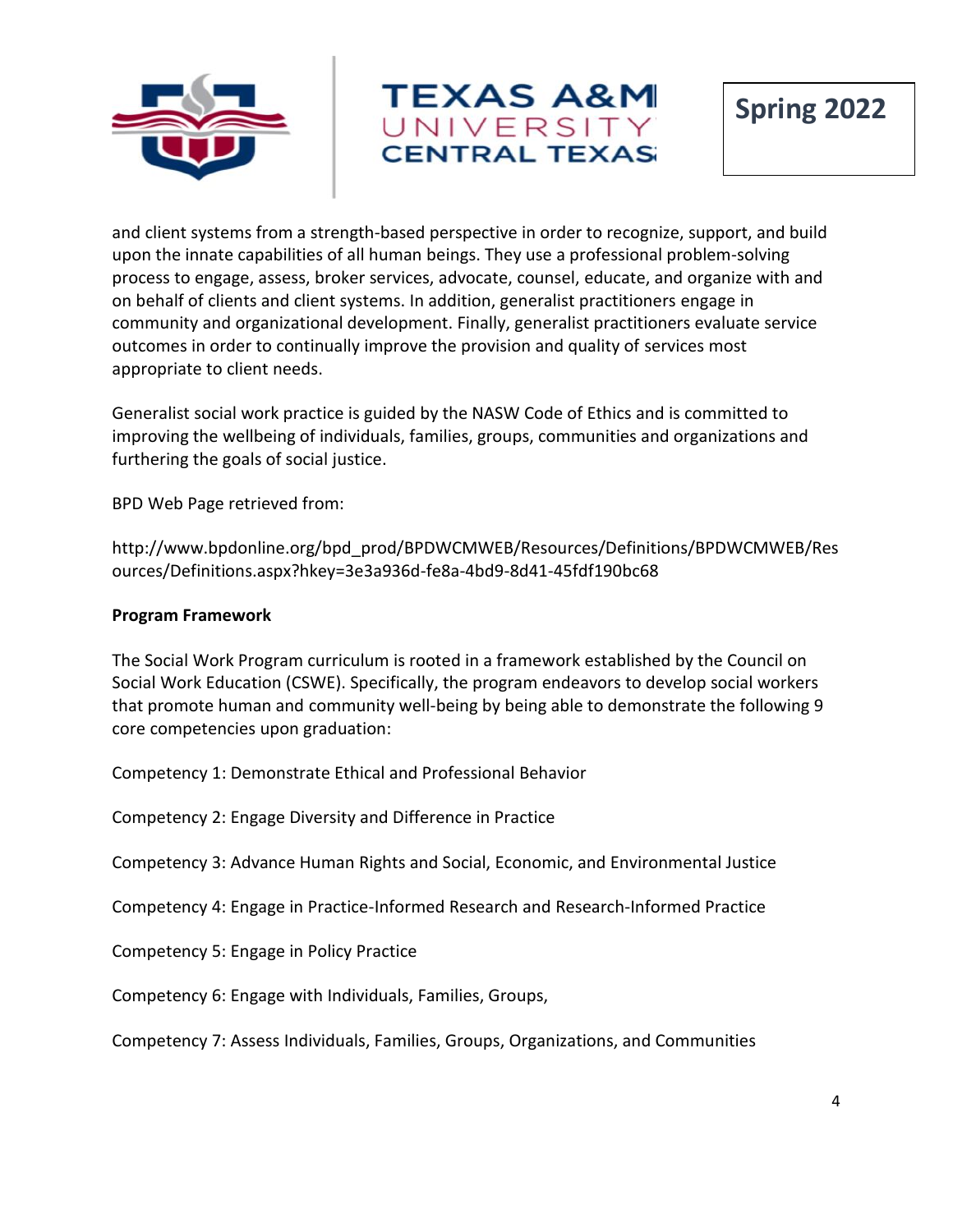



and client systems from a strength-based perspective in order to recognize, support, and build upon the innate capabilities of all human beings. They use a professional problem-solving process to engage, assess, broker services, advocate, counsel, educate, and organize with and on behalf of clients and client systems. In addition, generalist practitioners engage in community and organizational development. Finally, generalist practitioners evaluate service outcomes in order to continually improve the provision and quality of services most appropriate to client needs.

Generalist social work practice is guided by the NASW Code of Ethics and is committed to improving the wellbeing of individuals, families, groups, communities and organizations and furthering the goals of social justice.

BPD Web Page retrieved from:

http://www.bpdonline.org/bpd\_prod/BPDWCMWEB/Resources/Definitions/BPDWCMWEB/Res ources/Definitions.aspx?hkey=3e3a936d-fe8a-4bd9-8d41-45fdf190bc68

#### **Program Framework**

The Social Work Program curriculum is rooted in a framework established by the Council on Social Work Education (CSWE). Specifically, the program endeavors to develop social workers that promote human and community well-being by being able to demonstrate the following 9 core competencies upon graduation:

Competency 1: Demonstrate Ethical and Professional Behavior

Competency 2: Engage Diversity and Difference in Practice

Competency 3: Advance Human Rights and Social, Economic, and Environmental Justice

Competency 4: Engage in Practice-Informed Research and Research-Informed Practice

Competency 5: Engage in Policy Practice

Competency 6: Engage with Individuals, Families, Groups,

Competency 7: Assess Individuals, Families, Groups, Organizations, and Communities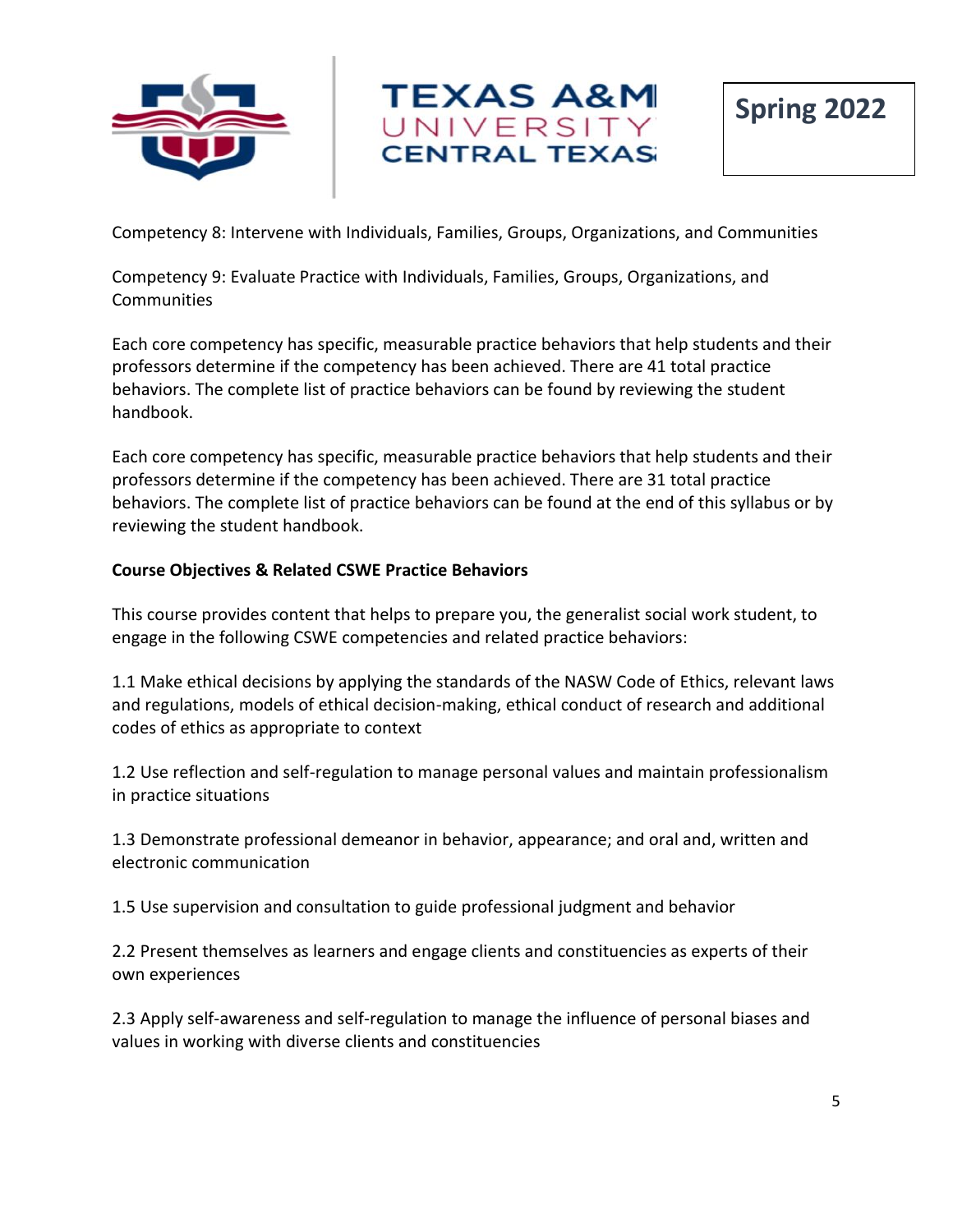



Competency 8: Intervene with Individuals, Families, Groups, Organizations, and Communities

Competency 9: Evaluate Practice with Individuals, Families, Groups, Organizations, and **Communities** 

Each core competency has specific, measurable practice behaviors that help students and their professors determine if the competency has been achieved. There are 41 total practice behaviors. The complete list of practice behaviors can be found by reviewing the student handbook.

Each core competency has specific, measurable practice behaviors that help students and their professors determine if the competency has been achieved. There are 31 total practice behaviors. The complete list of practice behaviors can be found at the end of this syllabus or by reviewing the student handbook.

#### **Course Objectives & Related CSWE Practice Behaviors**

This course provides content that helps to prepare you, the generalist social work student, to engage in the following CSWE competencies and related practice behaviors:

1.1 Make ethical decisions by applying the standards of the NASW Code of Ethics, relevant laws and regulations, models of ethical decision-making, ethical conduct of research and additional codes of ethics as appropriate to context

1.2 Use reflection and self-regulation to manage personal values and maintain professionalism in practice situations

1.3 Demonstrate professional demeanor in behavior, appearance; and oral and, written and electronic communication

1.5 Use supervision and consultation to guide professional judgment and behavior

2.2 Present themselves as learners and engage clients and constituencies as experts of their own experiences

2.3 Apply self-awareness and self-regulation to manage the influence of personal biases and values in working with diverse clients and constituencies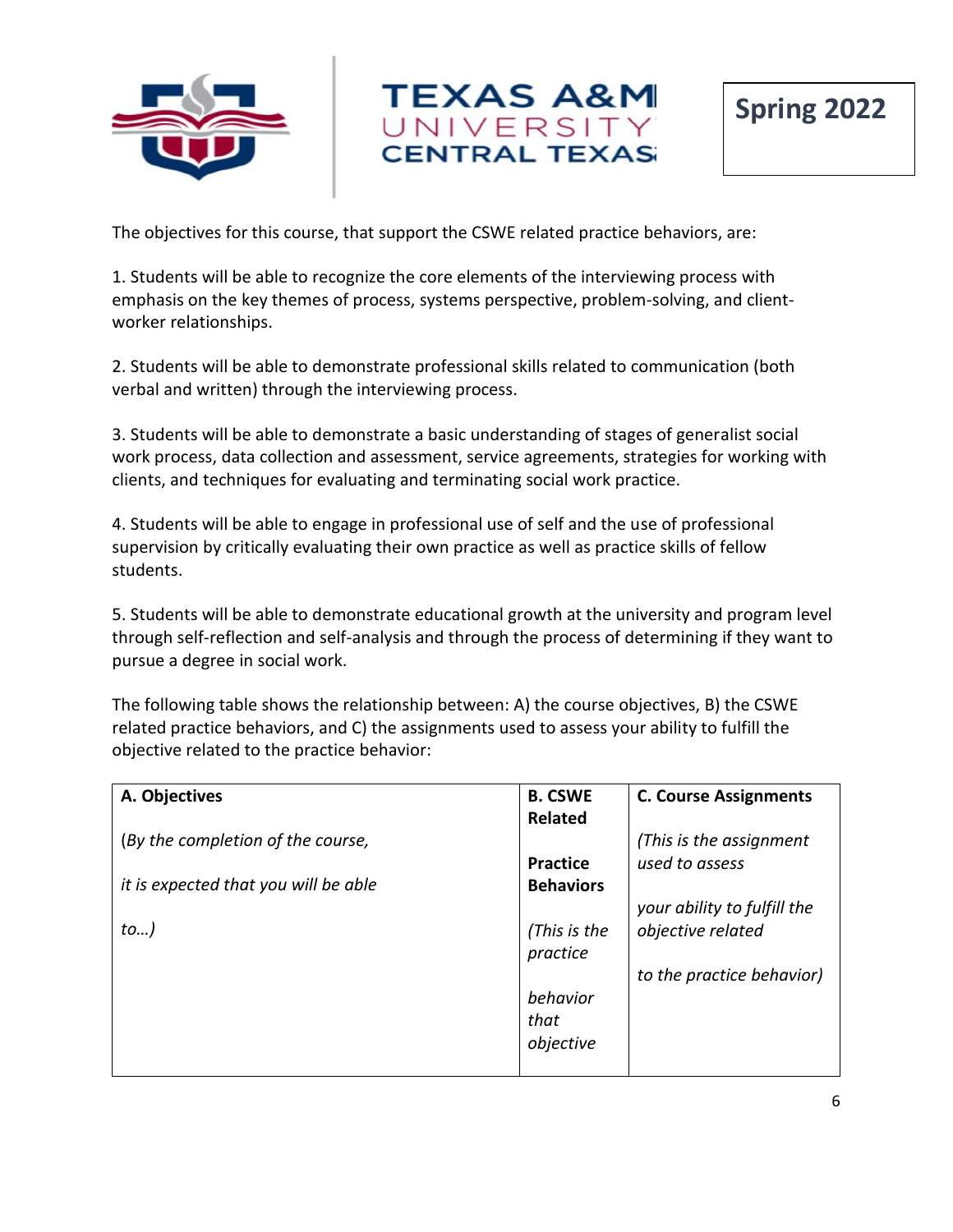



The objectives for this course, that support the CSWE related practice behaviors, are:

1. Students will be able to recognize the core elements of the interviewing process with emphasis on the key themes of process, systems perspective, problem-solving, and clientworker relationships.

2. Students will be able to demonstrate professional skills related to communication (both verbal and written) through the interviewing process.

3. Students will be able to demonstrate a basic understanding of stages of generalist social work process, data collection and assessment, service agreements, strategies for working with clients, and techniques for evaluating and terminating social work practice.

4. Students will be able to engage in professional use of self and the use of professional supervision by critically evaluating their own practice as well as practice skills of fellow students.

5. Students will be able to demonstrate educational growth at the university and program level through self-reflection and self-analysis and through the process of determining if they want to pursue a degree in social work.

The following table shows the relationship between: A) the course objectives, B) the CSWE related practice behaviors, and C) the assignments used to assess your ability to fulfill the objective related to the practice behavior:

| A. Objectives                        | <b>B. CSWE</b>   | <b>C. Course Assignments</b> |
|--------------------------------------|------------------|------------------------------|
|                                      | <b>Related</b>   |                              |
| (By the completion of the course,    |                  | (This is the assignment      |
|                                      | <b>Practice</b>  | used to assess               |
| it is expected that you will be able | <b>Behaviors</b> |                              |
|                                      |                  | your ability to fulfill the  |
| to)                                  | (This is the     | objective related            |
|                                      | practice         |                              |
|                                      |                  | to the practice behavior)    |
|                                      | behavior         |                              |
|                                      | that             |                              |
|                                      | objective        |                              |
|                                      |                  |                              |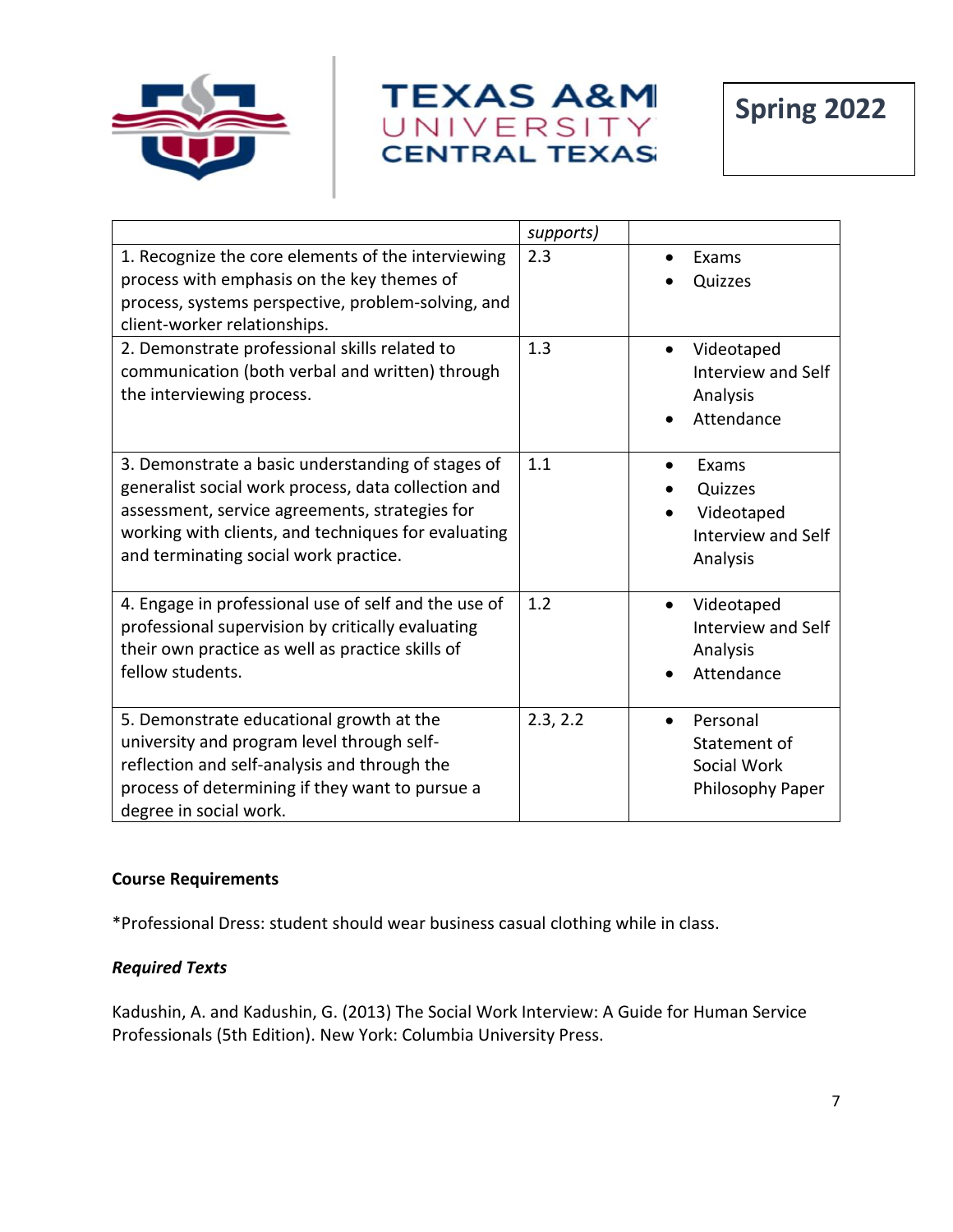



|                                                                                                                                                                                                                                                            | supports) |                                                                  |
|------------------------------------------------------------------------------------------------------------------------------------------------------------------------------------------------------------------------------------------------------------|-----------|------------------------------------------------------------------|
| 1. Recognize the core elements of the interviewing<br>process with emphasis on the key themes of<br>process, systems perspective, problem-solving, and<br>client-worker relationships.                                                                     | 2.3       | Exams<br>Quizzes                                                 |
| 2. Demonstrate professional skills related to<br>communication (both verbal and written) through<br>the interviewing process.                                                                                                                              | 1.3       | Videotaped<br>Interview and Self<br>Analysis<br>Attendance       |
| 3. Demonstrate a basic understanding of stages of<br>generalist social work process, data collection and<br>assessment, service agreements, strategies for<br>working with clients, and techniques for evaluating<br>and terminating social work practice. | 1.1       | Exams<br>Quizzes<br>Videotaped<br>Interview and Self<br>Analysis |
| 4. Engage in professional use of self and the use of<br>professional supervision by critically evaluating<br>their own practice as well as practice skills of<br>fellow students.                                                                          | 1.2       | Videotaped<br>Interview and Self<br>Analysis<br>Attendance       |
| 5. Demonstrate educational growth at the<br>university and program level through self-<br>reflection and self-analysis and through the<br>process of determining if they want to pursue a<br>degree in social work.                                        | 2.3, 2.2  | Personal<br>Statement of<br>Social Work<br>Philosophy Paper      |

#### **Course Requirements**

\*Professional Dress: student should wear business casual clothing while in class.

## *Required Texts*

Kadushin, A. and Kadushin, G. (2013) The Social Work Interview: A Guide for Human Service Professionals (5th Edition). New York: Columbia University Press.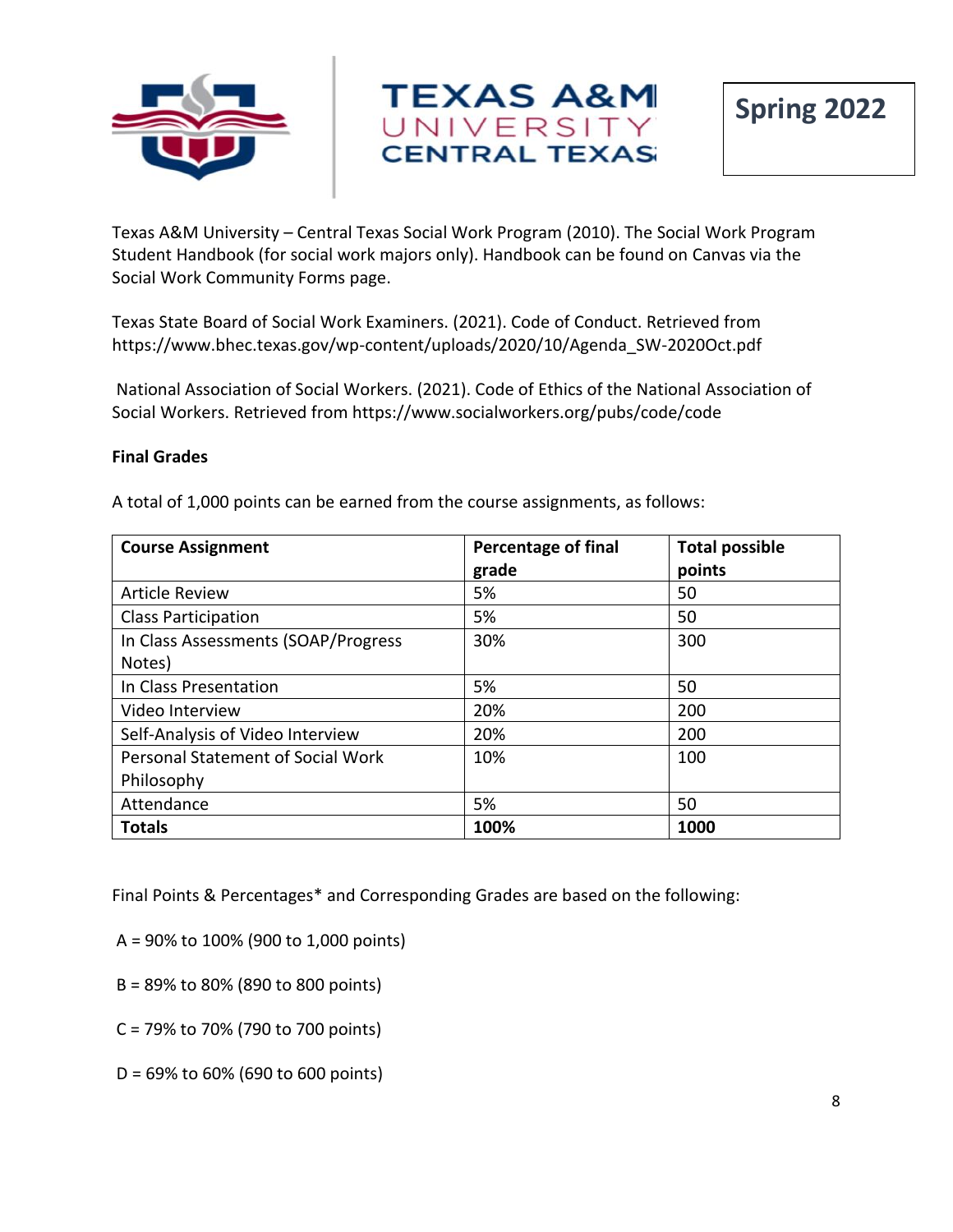



Texas A&M University – Central Texas Social Work Program (2010). The Social Work Program Student Handbook (for social work majors only). Handbook can be found on Canvas via the Social Work Community Forms page.

Texas State Board of Social Work Examiners. (2021). Code of Conduct. Retrieved from https://www.bhec.texas.gov/wp-content/uploads/2020/10/Agenda\_SW-2020Oct.pdf

National Association of Social Workers. (2021). Code of Ethics of the National Association of Social Workers. Retrieved from https://www.socialworkers.org/pubs/code/code

#### **Final Grades**

A total of 1,000 points can be earned from the course assignments, as follows:

| <b>Course Assignment</b>                 | <b>Percentage of final</b> | <b>Total possible</b> |
|------------------------------------------|----------------------------|-----------------------|
|                                          | grade                      | points                |
| <b>Article Review</b>                    | 5%                         | 50                    |
| <b>Class Participation</b>               | 5%                         | 50                    |
| In Class Assessments (SOAP/Progress      | 30%                        | 300                   |
| Notes)                                   |                            |                       |
| In Class Presentation                    | 5%                         | 50                    |
| Video Interview                          | 20%                        | 200                   |
| Self-Analysis of Video Interview         | 20%                        | 200                   |
| <b>Personal Statement of Social Work</b> | 10%                        | 100                   |
| Philosophy                               |                            |                       |
| Attendance                               | 5%                         | 50                    |
| <b>Totals</b>                            | 100%                       | 1000                  |

Final Points & Percentages\* and Corresponding Grades are based on the following:

A = 90% to 100% (900 to 1,000 points)

- B = 89% to 80% (890 to 800 points)
- C = 79% to 70% (790 to 700 points)
- D = 69% to 60% (690 to 600 points)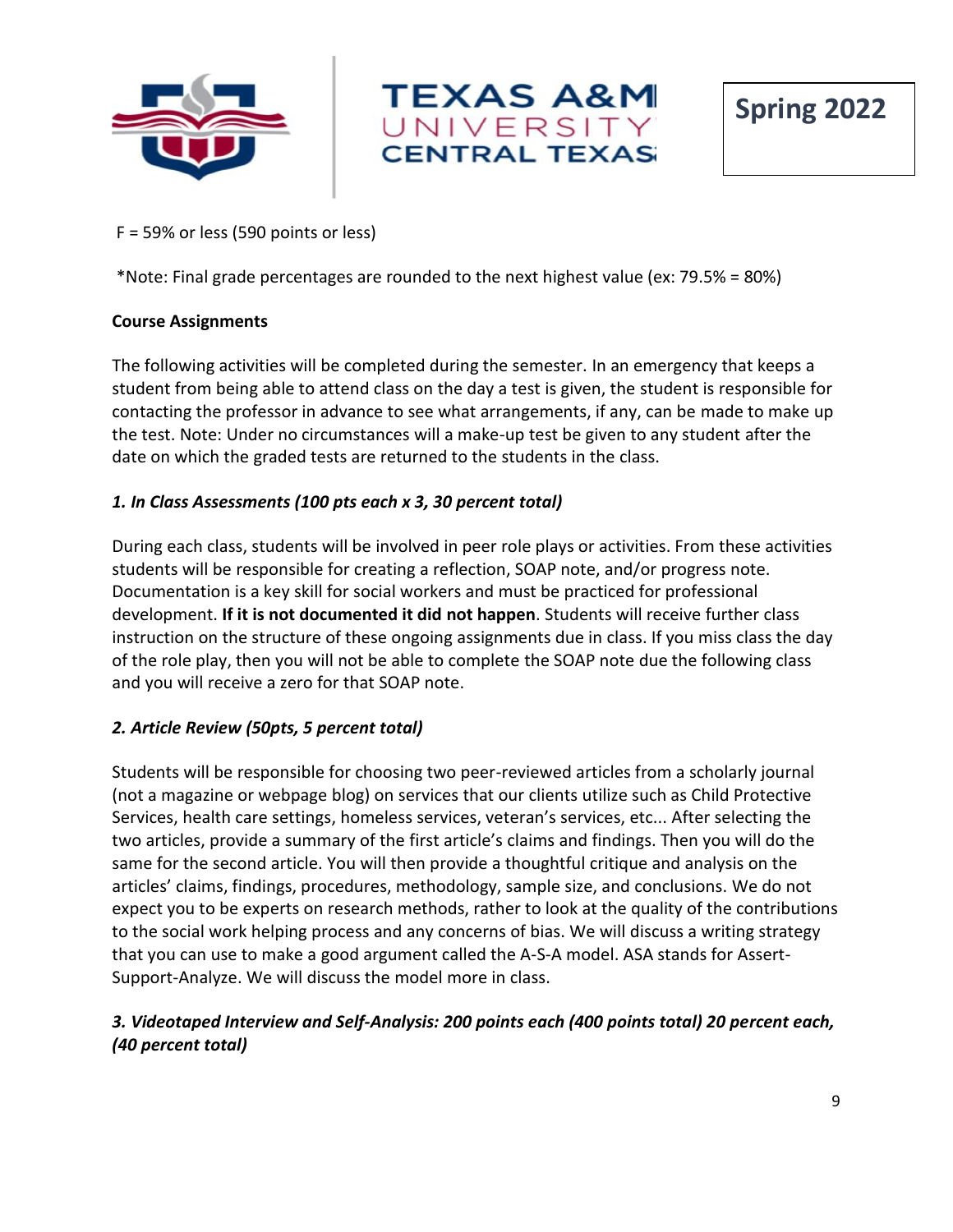





#### F = 59% or less (590 points or less)

\*Note: Final grade percentages are rounded to the next highest value (ex: 79.5% = 80%)

#### **Course Assignments**

The following activities will be completed during the semester. In an emergency that keeps a student from being able to attend class on the day a test is given, the student is responsible for contacting the professor in advance to see what arrangements, if any, can be made to make up the test. Note: Under no circumstances will a make-up test be given to any student after the date on which the graded tests are returned to the students in the class.

## *1. In Class Assessments (100 pts each x 3, 30 percent total)*

During each class, students will be involved in peer role plays or activities. From these activities students will be responsible for creating a reflection, SOAP note, and/or progress note. Documentation is a key skill for social workers and must be practiced for professional development. **If it is not documented it did not happen**. Students will receive further class instruction on the structure of these ongoing assignments due in class. If you miss class the day of the role play, then you will not be able to complete the SOAP note due the following class and you will receive a zero for that SOAP note.

## *2. Article Review (50pts, 5 percent total)*

Students will be responsible for choosing two peer-reviewed articles from a scholarly journal (not a magazine or webpage blog) on services that our clients utilize such as Child Protective Services, health care settings, homeless services, veteran's services, etc... After selecting the two articles, provide a summary of the first article's claims and findings. Then you will do the same for the second article. You will then provide a thoughtful critique and analysis on the articles' claims, findings, procedures, methodology, sample size, and conclusions. We do not expect you to be experts on research methods, rather to look at the quality of the contributions to the social work helping process and any concerns of bias. We will discuss a writing strategy that you can use to make a good argument called the A-S-A model. ASA stands for Assert-Support-Analyze. We will discuss the model more in class.

## *3. Videotaped Interview and Self-Analysis: 200 points each (400 points total) 20 percent each, (40 percent total)*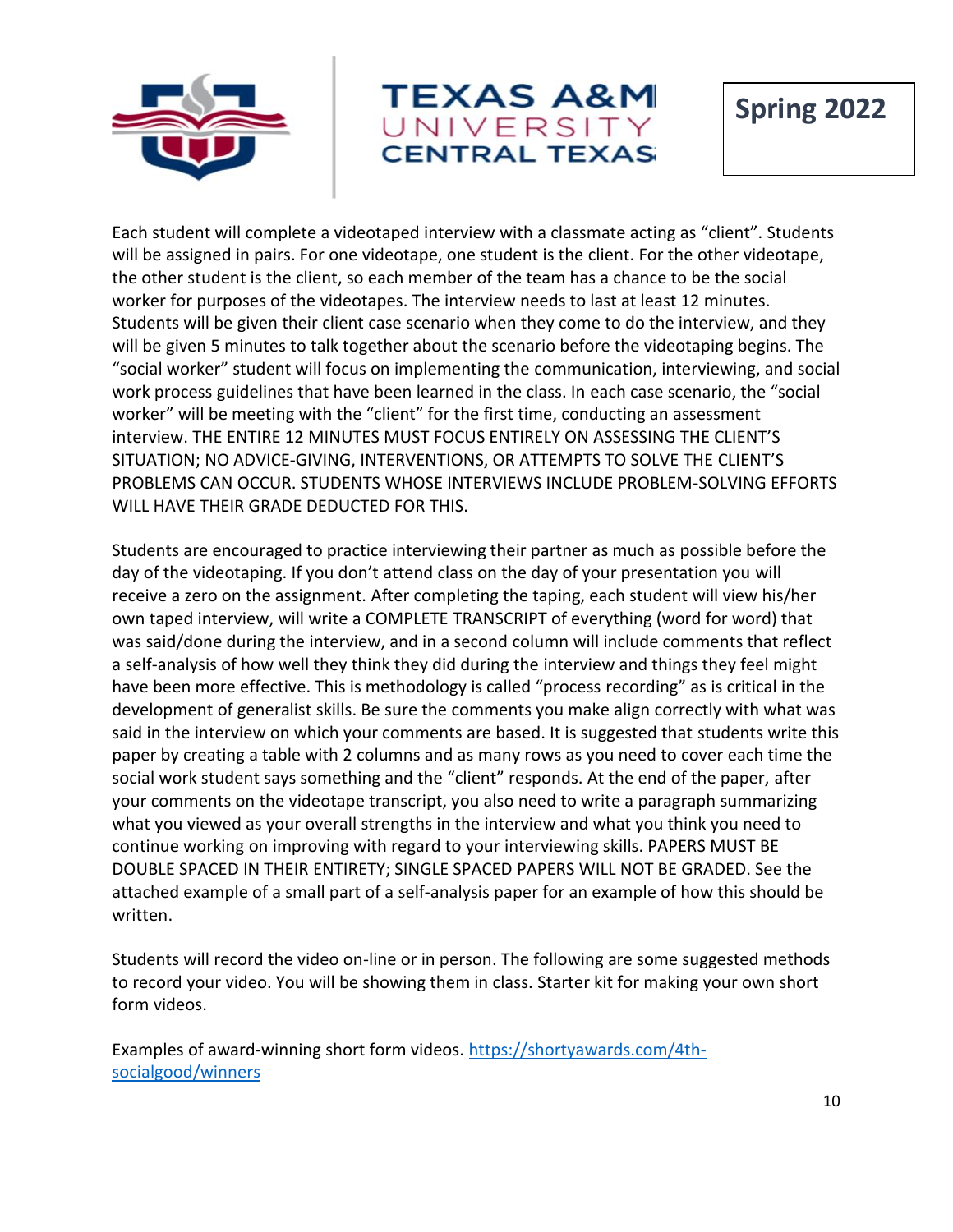



Each student will complete a videotaped interview with a classmate acting as "client". Students will be assigned in pairs. For one videotape, one student is the client. For the other videotape, the other student is the client, so each member of the team has a chance to be the social worker for purposes of the videotapes. The interview needs to last at least 12 minutes. Students will be given their client case scenario when they come to do the interview, and they will be given 5 minutes to talk together about the scenario before the videotaping begins. The "social worker" student will focus on implementing the communication, interviewing, and social work process guidelines that have been learned in the class. In each case scenario, the "social worker" will be meeting with the "client" for the first time, conducting an assessment interview. THE ENTIRE 12 MINUTES MUST FOCUS ENTIRELY ON ASSESSING THE CLIENT'S SITUATION; NO ADVICE-GIVING, INTERVENTIONS, OR ATTEMPTS TO SOLVE THE CLIENT'S PROBLEMS CAN OCCUR. STUDENTS WHOSE INTERVIEWS INCLUDE PROBLEM-SOLVING EFFORTS WILL HAVE THEIR GRADE DEDUCTED FOR THIS.

Students are encouraged to practice interviewing their partner as much as possible before the day of the videotaping. If you don't attend class on the day of your presentation you will receive a zero on the assignment. After completing the taping, each student will view his/her own taped interview, will write a COMPLETE TRANSCRIPT of everything (word for word) that was said/done during the interview, and in a second column will include comments that reflect a self-analysis of how well they think they did during the interview and things they feel might have been more effective. This is methodology is called "process recording" as is critical in the development of generalist skills. Be sure the comments you make align correctly with what was said in the interview on which your comments are based. It is suggested that students write this paper by creating a table with 2 columns and as many rows as you need to cover each time the social work student says something and the "client" responds. At the end of the paper, after your comments on the videotape transcript, you also need to write a paragraph summarizing what you viewed as your overall strengths in the interview and what you think you need to continue working on improving with regard to your interviewing skills. PAPERS MUST BE DOUBLE SPACED IN THEIR ENTIRETY; SINGLE SPACED PAPERS WILL NOT BE GRADED. See the attached example of a small part of a self-analysis paper for an example of how this should be written.

Students will record the video on-line or in person. The following are some suggested methods to record your video. You will be showing them in class. Starter kit for making your own short form videos.

Examples of award-winning short form videos. [https://shortyawards.com/4th](https://shortyawards.com/4th-socialgood/winners)[socialgood/winners](https://shortyawards.com/4th-socialgood/winners)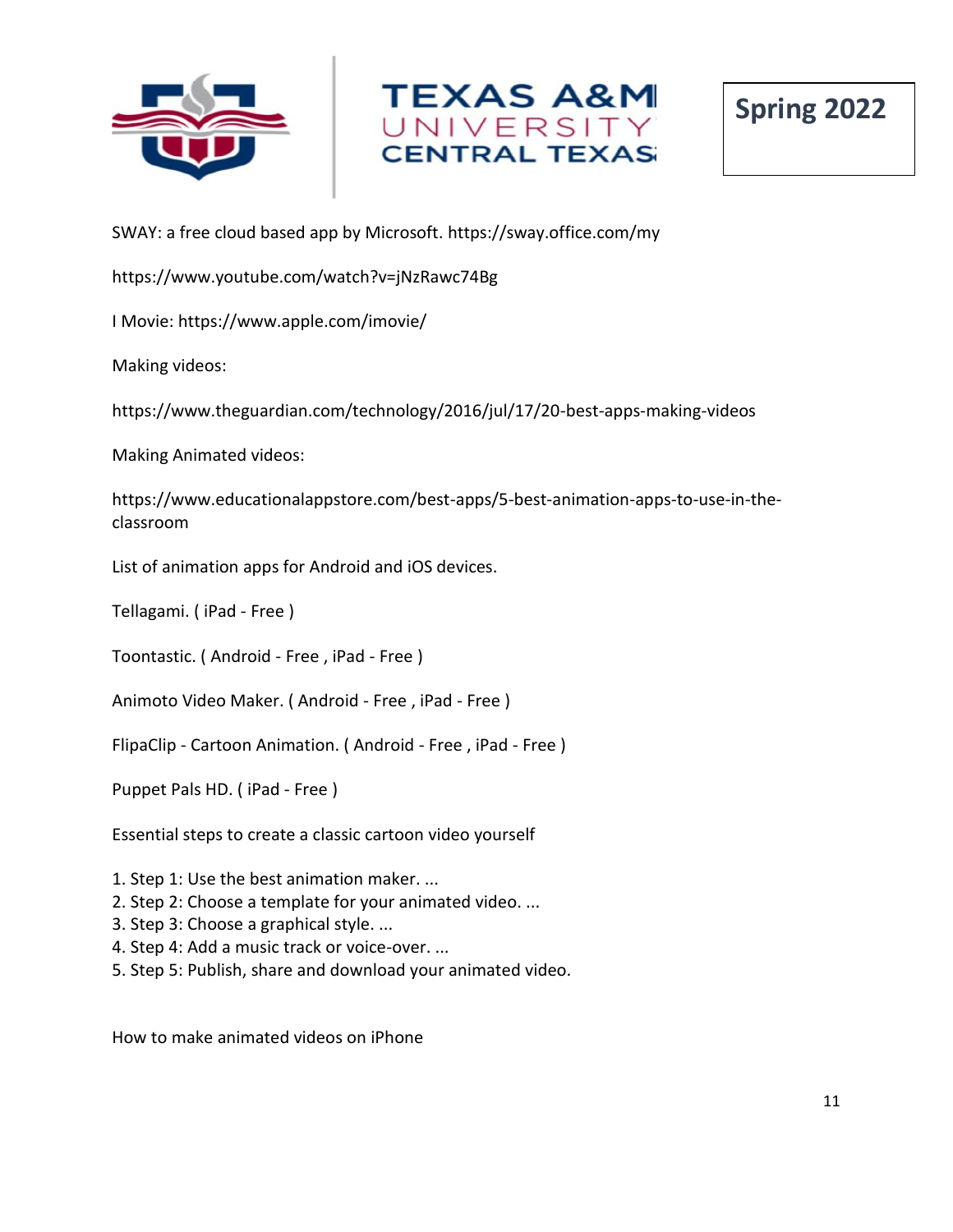





SWAY: a free cloud based app by Microsoft. https://sway.office.com/my

https://www.youtube.com/watch?v=jNzRawc74Bg

I Movie: https://www.apple.com/imovie/

Making videos:

https://www.theguardian.com/technology/2016/jul/17/20-best-apps-making-videos

Making Animated videos:

https://www.educationalappstore.com/best-apps/5-best-animation-apps-to-use-in-theclassroom

List of animation apps for Android and iOS devices.

Tellagami. ( iPad - Free )

Toontastic. ( Android - Free , iPad - Free )

Animoto Video Maker. ( Android - Free , iPad - Free )

FlipaClip - Cartoon Animation. ( Android - Free , iPad - Free )

Puppet Pals HD. ( iPad - Free )

Essential steps to create a classic cartoon video yourself

1. Step 1: Use the best animation maker. ...

- 2. Step 2: Choose a template for your animated video. ...
- 3. Step 3: Choose a graphical style. ...
- 4. Step 4: Add a music track or voice-over. ...
- 5. Step 5: Publish, share and download your animated video.

How to make animated videos on iPhone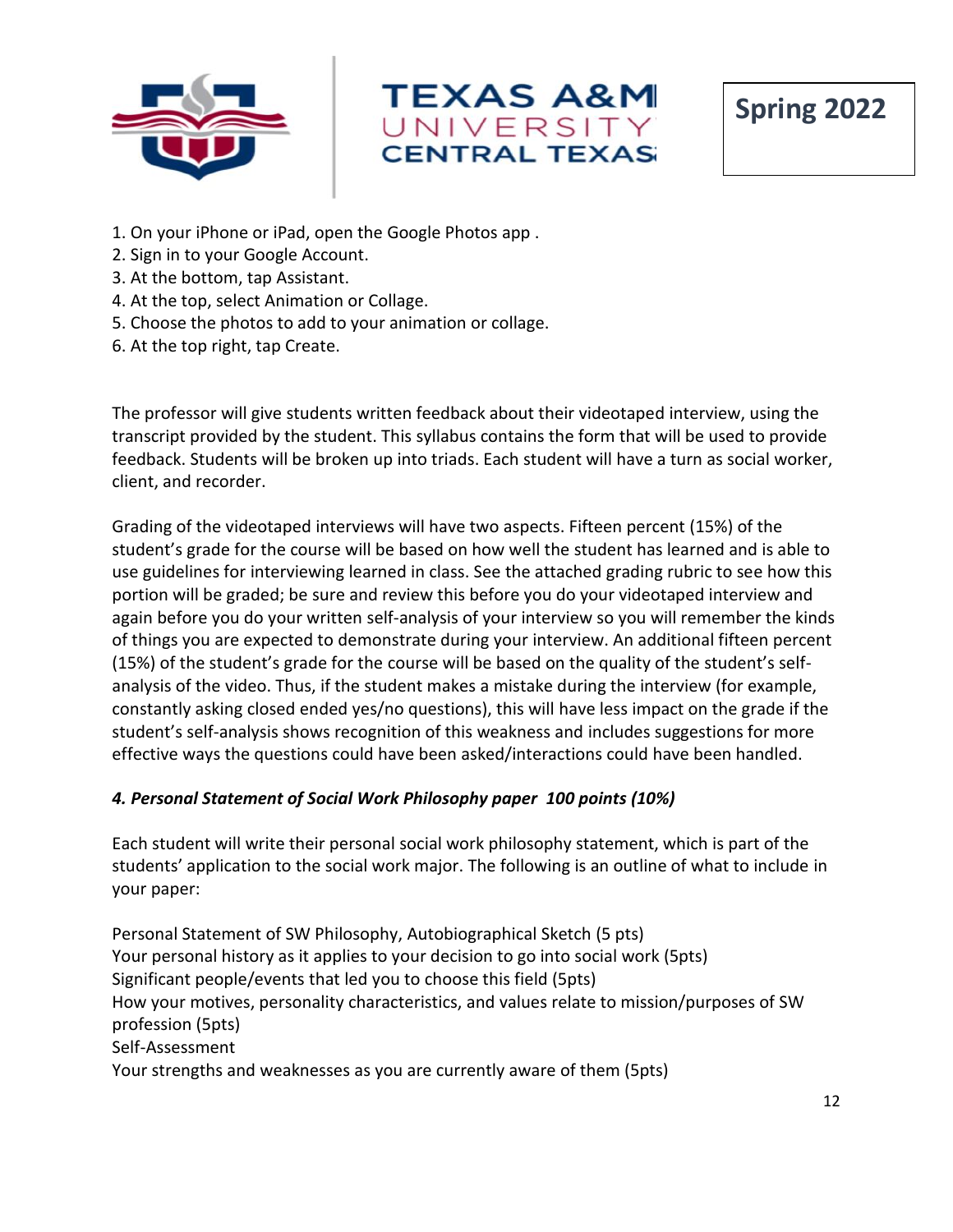





- 1. On your iPhone or iPad, open the Google Photos app .
- 2. Sign in to your Google Account.
- 3. At the bottom, tap Assistant.
- 4. At the top, select Animation or Collage.
- 5. Choose the photos to add to your animation or collage.
- 6. At the top right, tap Create.

The professor will give students written feedback about their videotaped interview, using the transcript provided by the student. This syllabus contains the form that will be used to provide feedback. Students will be broken up into triads. Each student will have a turn as social worker, client, and recorder.

Grading of the videotaped interviews will have two aspects. Fifteen percent (15%) of the student's grade for the course will be based on how well the student has learned and is able to use guidelines for interviewing learned in class. See the attached grading rubric to see how this portion will be graded; be sure and review this before you do your videotaped interview and again before you do your written self-analysis of your interview so you will remember the kinds of things you are expected to demonstrate during your interview. An additional fifteen percent (15%) of the student's grade for the course will be based on the quality of the student's selfanalysis of the video. Thus, if the student makes a mistake during the interview (for example, constantly asking closed ended yes/no questions), this will have less impact on the grade if the student's self-analysis shows recognition of this weakness and includes suggestions for more effective ways the questions could have been asked/interactions could have been handled.

#### *4. Personal Statement of Social Work Philosophy paper 100 points (10%)*

Each student will write their personal social work philosophy statement, which is part of the students' application to the social work major. The following is an outline of what to include in your paper:

Personal Statement of SW Philosophy, Autobiographical Sketch (5 pts) Your personal history as it applies to your decision to go into social work (5pts) Significant people/events that led you to choose this field (5pts) How your motives, personality characteristics, and values relate to mission/purposes of SW profession (5pts) Self-Assessment Your strengths and weaknesses as you are currently aware of them (5pts)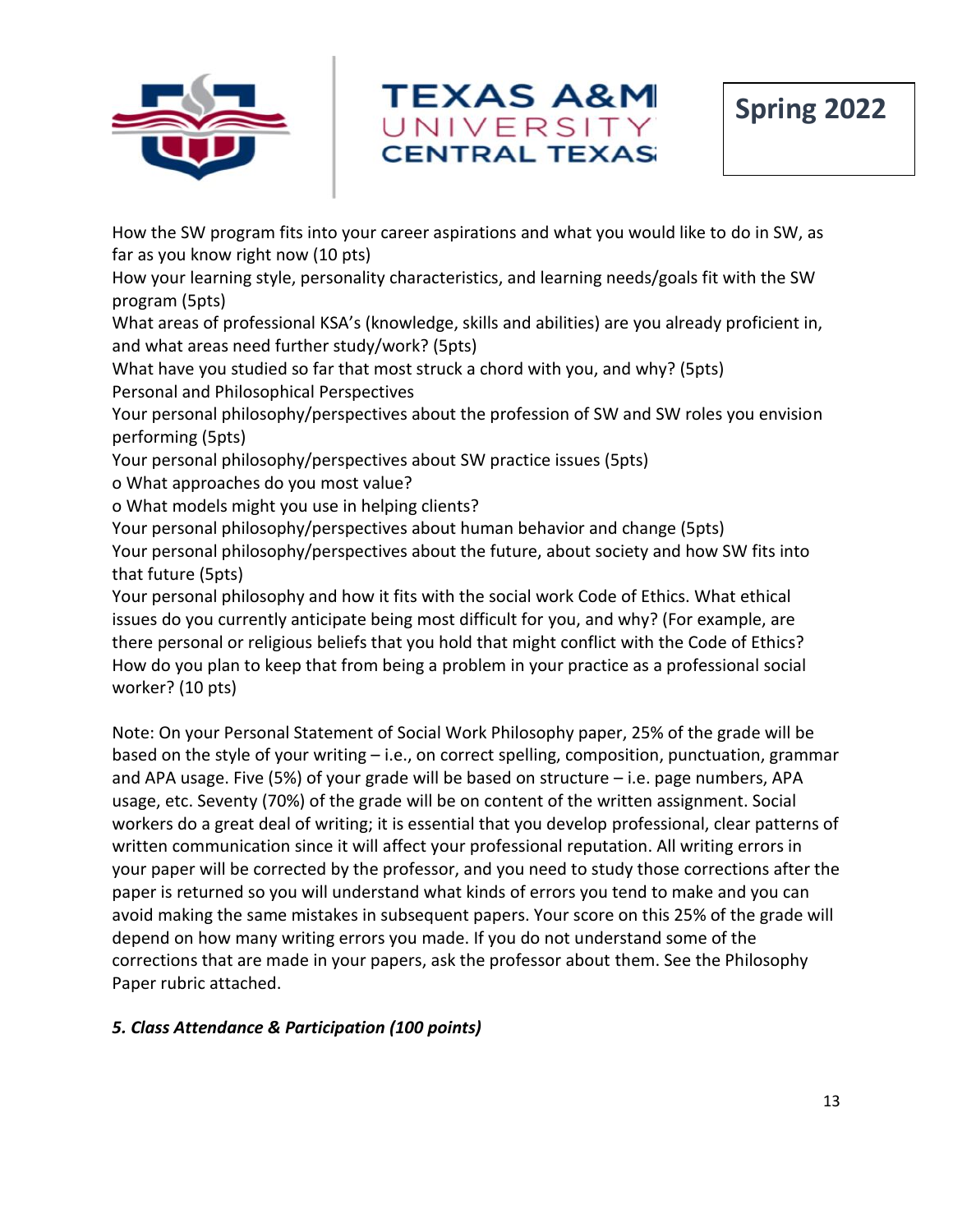



How the SW program fits into your career aspirations and what you would like to do in SW, as far as you know right now (10 pts)

How your learning style, personality characteristics, and learning needs/goals fit with the SW program (5pts)

What areas of professional KSA's (knowledge, skills and abilities) are you already proficient in, and what areas need further study/work? (5pts)

What have you studied so far that most struck a chord with you, and why? (5pts) Personal and Philosophical Perspectives

Your personal philosophy/perspectives about the profession of SW and SW roles you envision performing (5pts)

Your personal philosophy/perspectives about SW practice issues (5pts)

o What approaches do you most value?

o What models might you use in helping clients?

Your personal philosophy/perspectives about human behavior and change (5pts) Your personal philosophy/perspectives about the future, about society and how SW fits into that future (5pts)

Your personal philosophy and how it fits with the social work Code of Ethics. What ethical issues do you currently anticipate being most difficult for you, and why? (For example, are there personal or religious beliefs that you hold that might conflict with the Code of Ethics? How do you plan to keep that from being a problem in your practice as a professional social worker? (10 pts)

Note: On your Personal Statement of Social Work Philosophy paper, 25% of the grade will be based on the style of your writing – i.e., on correct spelling, composition, punctuation, grammar and APA usage. Five (5%) of your grade will be based on structure – i.e. page numbers, APA usage, etc. Seventy (70%) of the grade will be on content of the written assignment. Social workers do a great deal of writing; it is essential that you develop professional, clear patterns of written communication since it will affect your professional reputation. All writing errors in your paper will be corrected by the professor, and you need to study those corrections after the paper is returned so you will understand what kinds of errors you tend to make and you can avoid making the same mistakes in subsequent papers. Your score on this 25% of the grade will depend on how many writing errors you made. If you do not understand some of the corrections that are made in your papers, ask the professor about them. See the Philosophy Paper rubric attached.

## *5. Class Attendance & Participation (100 points)*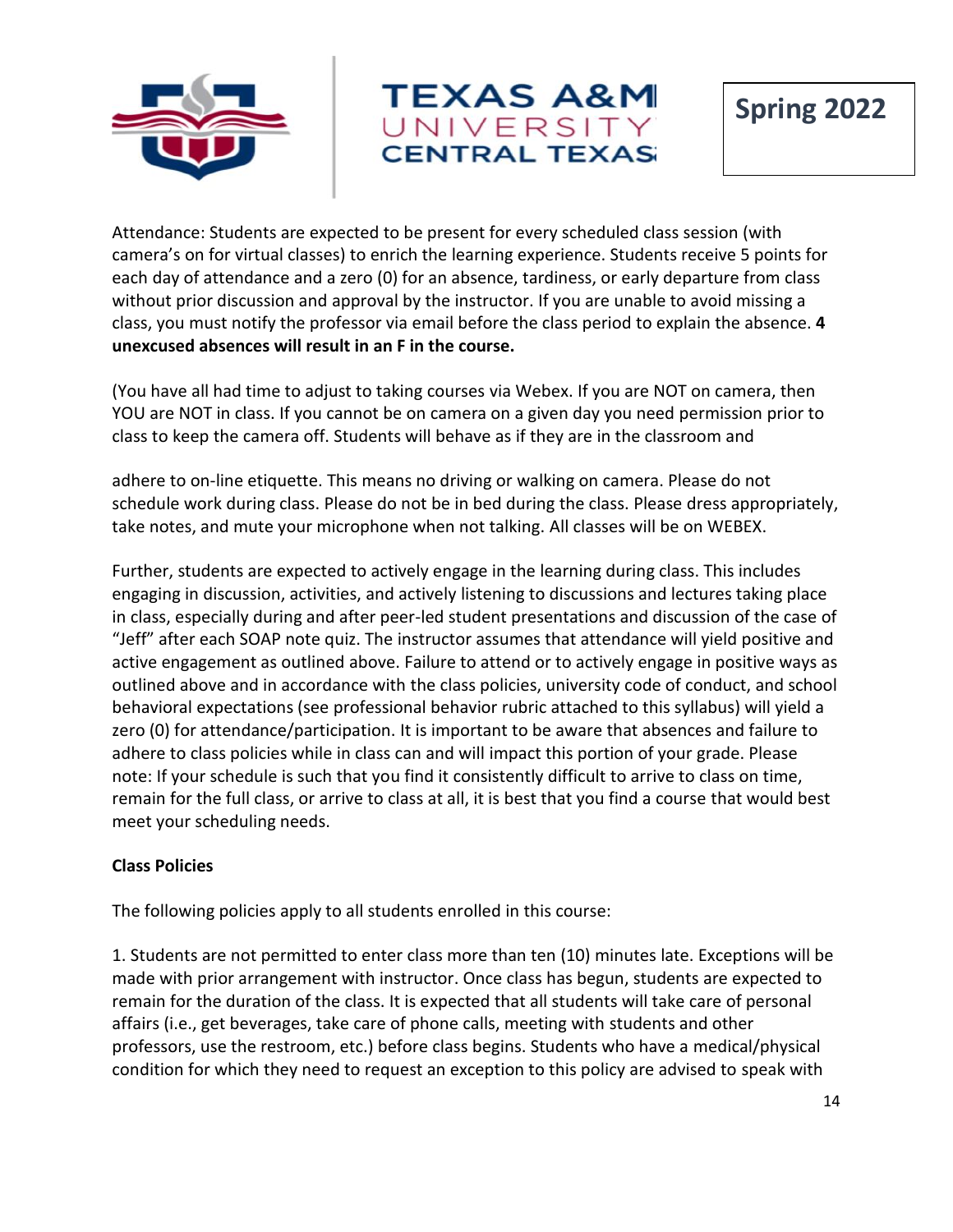



Attendance: Students are expected to be present for every scheduled class session (with camera's on for virtual classes) to enrich the learning experience. Students receive 5 points for each day of attendance and a zero (0) for an absence, tardiness, or early departure from class without prior discussion and approval by the instructor. If you are unable to avoid missing a class, you must notify the professor via email before the class period to explain the absence. **4 unexcused absences will result in an F in the course.**

(You have all had time to adjust to taking courses via Webex. If you are NOT on camera, then YOU are NOT in class. If you cannot be on camera on a given day you need permission prior to class to keep the camera off. Students will behave as if they are in the classroom and

adhere to on-line etiquette. This means no driving or walking on camera. Please do not schedule work during class. Please do not be in bed during the class. Please dress appropriately, take notes, and mute your microphone when not talking. All classes will be on WEBEX.

Further, students are expected to actively engage in the learning during class. This includes engaging in discussion, activities, and actively listening to discussions and lectures taking place in class, especially during and after peer-led student presentations and discussion of the case of "Jeff" after each SOAP note quiz. The instructor assumes that attendance will yield positive and active engagement as outlined above. Failure to attend or to actively engage in positive ways as outlined above and in accordance with the class policies, university code of conduct, and school behavioral expectations (see professional behavior rubric attached to this syllabus) will yield a zero (0) for attendance/participation. It is important to be aware that absences and failure to adhere to class policies while in class can and will impact this portion of your grade. Please note: If your schedule is such that you find it consistently difficult to arrive to class on time, remain for the full class, or arrive to class at all, it is best that you find a course that would best meet your scheduling needs.

## **Class Policies**

The following policies apply to all students enrolled in this course:

1. Students are not permitted to enter class more than ten (10) minutes late. Exceptions will be made with prior arrangement with instructor. Once class has begun, students are expected to remain for the duration of the class. It is expected that all students will take care of personal affairs (i.e., get beverages, take care of phone calls, meeting with students and other professors, use the restroom, etc.) before class begins. Students who have a medical/physical condition for which they need to request an exception to this policy are advised to speak with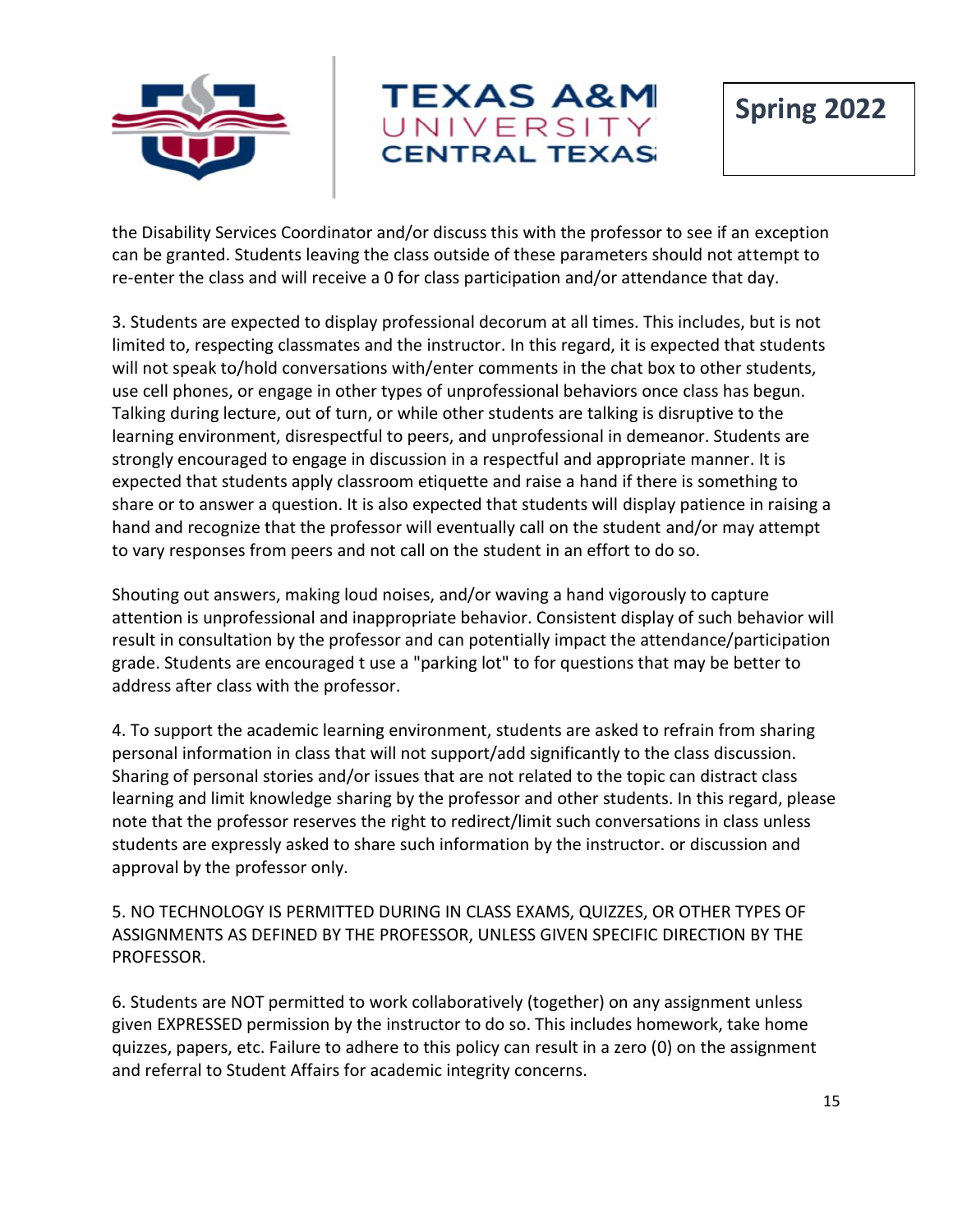



the Disability Services Coordinator and/or discuss this with the professor to see if an exception can be granted. Students leaving the class outside of these parameters should not attempt to re-enter the class and will receive a 0 for class participation and/or attendance that day.

3. Students are expected to display professional decorum at all times. This includes, but is not limited to, respecting classmates and the instructor. In this regard, it is expected that students will not speak to/hold conversations with/enter comments in the chat box to other students, use cell phones, or engage in other types of unprofessional behaviors once class has begun. Talking during lecture, out of turn, or while other students are talking is disruptive to the learning environment, disrespectful to peers, and unprofessional in demeanor. Students are strongly encouraged to engage in discussion in a respectful and appropriate manner. It is expected that students apply classroom etiquette and raise a hand if there is something to share or to answer a question. It is also expected that students will display patience in raising a hand and recognize that the professor will eventually call on the student and/or may attempt to vary responses from peers and not call on the student in an effort to do so.

Shouting out answers, making loud noises, and/or waving a hand vigorously to capture attention is unprofessional and inappropriate behavior. Consistent display of such behavior will result in consultation by the professor and can potentially impact the attendance/participation grade. Students are encouraged t use a "parking lot" to for questions that may be better to address after class with the professor.

4. To support the academic learning environment, students are asked to refrain from sharing personal information in class that will not support/add significantly to the class discussion. Sharing of personal stories and/or issues that are not related to the topic can distract class learning and limit knowledge sharing by the professor and other students. In this regard, please note that the professor reserves the right to redirect/limit such conversations in class unless students are expressly asked to share such information by the instructor. or discussion and approval by the professor only.

5. NO TECHNOLOGY IS PERMITTED DURING IN CLASS EXAMS, QUIZZES, OR OTHER TYPES OF ASSIGNMENTS AS DEFINED BY THE PROFESSOR, UNLESS GIVEN SPECIFIC DIRECTION BY THE PROFESSOR.

6. Students are NOT permitted to work collaboratively (together) on any assignment unless given EXPRESSED permission by the instructor to do so. This includes homework, take home quizzes, papers, etc. Failure to adhere to this policy can result in a zero (0) on the assignment and referral to Student Affairs for academic integrity concerns.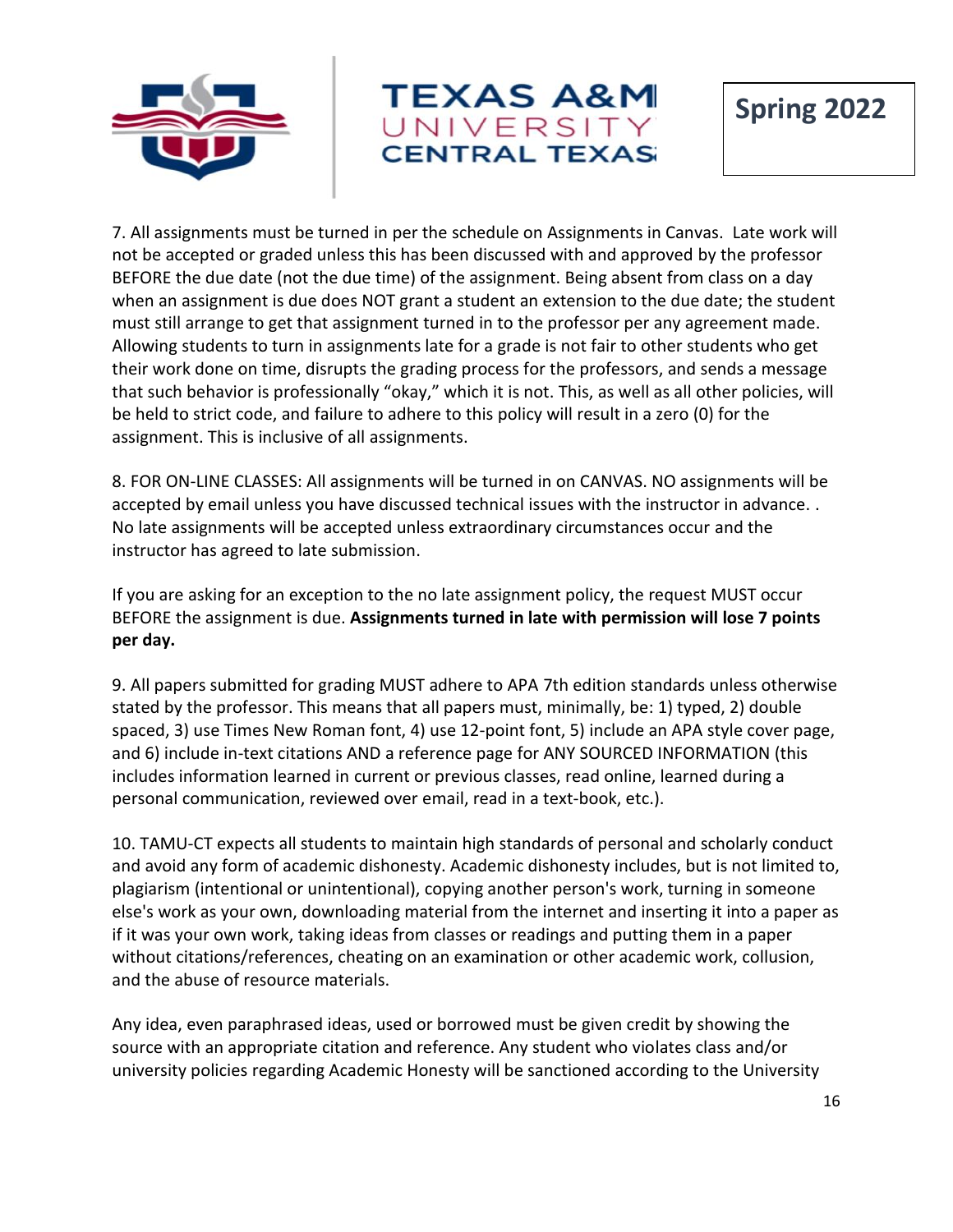



7. All assignments must be turned in per the schedule on Assignments in Canvas. Late work will not be accepted or graded unless this has been discussed with and approved by the professor BEFORE the due date (not the due time) of the assignment. Being absent from class on a day when an assignment is due does NOT grant a student an extension to the due date; the student must still arrange to get that assignment turned in to the professor per any agreement made. Allowing students to turn in assignments late for a grade is not fair to other students who get their work done on time, disrupts the grading process for the professors, and sends a message that such behavior is professionally "okay," which it is not. This, as well as all other policies, will be held to strict code, and failure to adhere to this policy will result in a zero (0) for the assignment. This is inclusive of all assignments.

8. FOR ON-LINE CLASSES: All assignments will be turned in on CANVAS. NO assignments will be accepted by email unless you have discussed technical issues with the instructor in advance. . No late assignments will be accepted unless extraordinary circumstances occur and the instructor has agreed to late submission.

If you are asking for an exception to the no late assignment policy, the request MUST occur BEFORE the assignment is due. **Assignments turned in late with permission will lose 7 points per day.**

9. All papers submitted for grading MUST adhere to APA 7th edition standards unless otherwise stated by the professor. This means that all papers must, minimally, be: 1) typed, 2) double spaced, 3) use Times New Roman font, 4) use 12-point font, 5) include an APA style cover page, and 6) include in-text citations AND a reference page for ANY SOURCED INFORMATION (this includes information learned in current or previous classes, read online, learned during a personal communication, reviewed over email, read in a text-book, etc.).

10. TAMU-CT expects all students to maintain high standards of personal and scholarly conduct and avoid any form of academic dishonesty. Academic dishonesty includes, but is not limited to, plagiarism (intentional or unintentional), copying another person's work, turning in someone else's work as your own, downloading material from the internet and inserting it into a paper as if it was your own work, taking ideas from classes or readings and putting them in a paper without citations/references, cheating on an examination or other academic work, collusion, and the abuse of resource materials.

Any idea, even paraphrased ideas, used or borrowed must be given credit by showing the source with an appropriate citation and reference. Any student who violates class and/or university policies regarding Academic Honesty will be sanctioned according to the University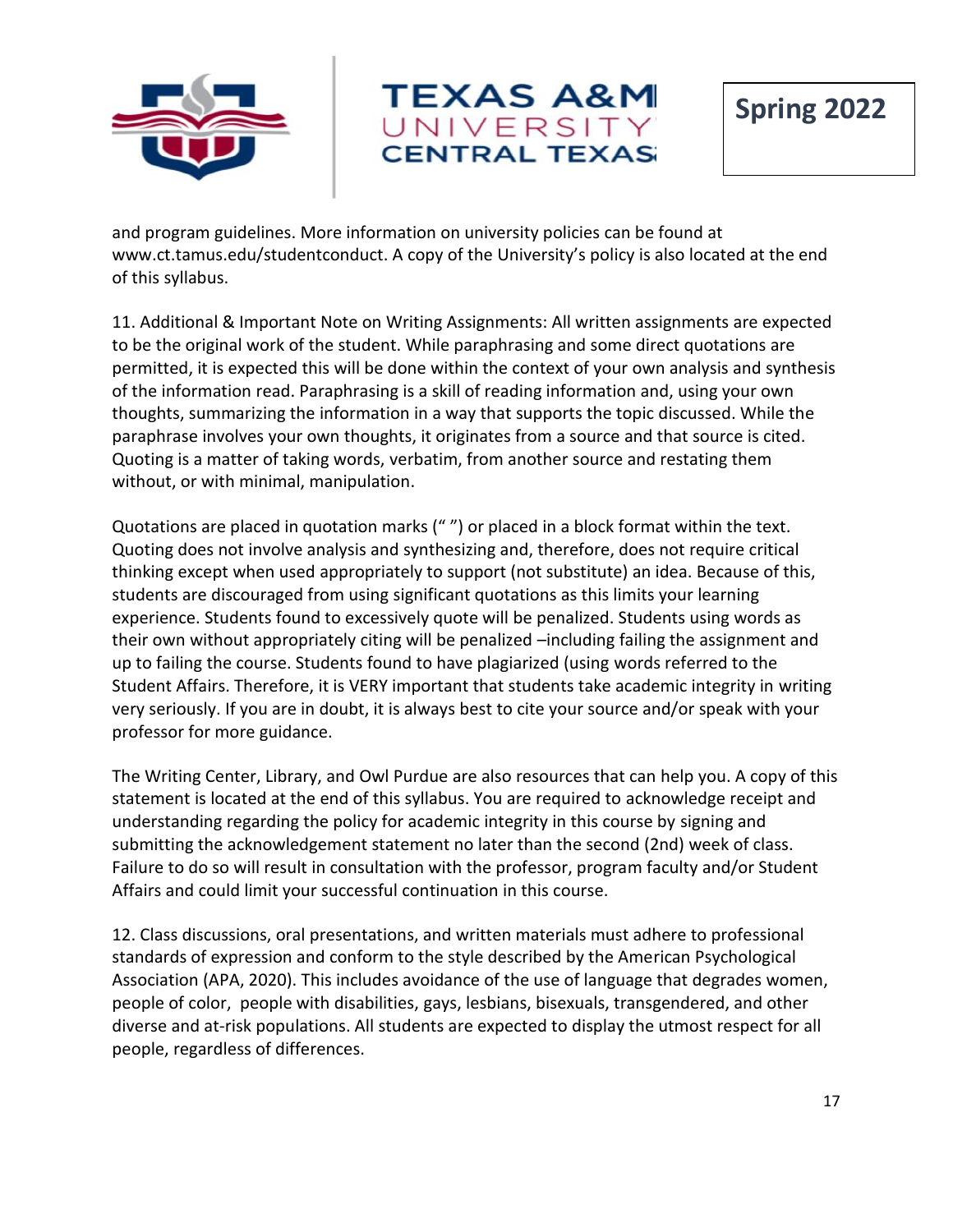



**Spring 2022**

and program guidelines. More information on university policies can be found at www.ct.tamus.edu/studentconduct. A copy of the University's policy is also located at the end of this syllabus.

11. Additional & Important Note on Writing Assignments: All written assignments are expected to be the original work of the student. While paraphrasing and some direct quotations are permitted, it is expected this will be done within the context of your own analysis and synthesis of the information read. Paraphrasing is a skill of reading information and, using your own thoughts, summarizing the information in a way that supports the topic discussed. While the paraphrase involves your own thoughts, it originates from a source and that source is cited. Quoting is a matter of taking words, verbatim, from another source and restating them without, or with minimal, manipulation.

Quotations are placed in quotation marks (" ") or placed in a block format within the text. Quoting does not involve analysis and synthesizing and, therefore, does not require critical thinking except when used appropriately to support (not substitute) an idea. Because of this, students are discouraged from using significant quotations as this limits your learning experience. Students found to excessively quote will be penalized. Students using words as their own without appropriately citing will be penalized –including failing the assignment and up to failing the course. Students found to have plagiarized (using words referred to the Student Affairs. Therefore, it is VERY important that students take academic integrity in writing very seriously. If you are in doubt, it is always best to cite your source and/or speak with your professor for more guidance.

The Writing Center, Library, and Owl Purdue are also resources that can help you. A copy of this statement is located at the end of this syllabus. You are required to acknowledge receipt and understanding regarding the policy for academic integrity in this course by signing and submitting the acknowledgement statement no later than the second (2nd) week of class. Failure to do so will result in consultation with the professor, program faculty and/or Student Affairs and could limit your successful continuation in this course.

12. Class discussions, oral presentations, and written materials must adhere to professional standards of expression and conform to the style described by the American Psychological Association (APA, 2020). This includes avoidance of the use of language that degrades women, people of color, people with disabilities, gays, lesbians, bisexuals, transgendered, and other diverse and at-risk populations. All students are expected to display the utmost respect for all people, regardless of differences.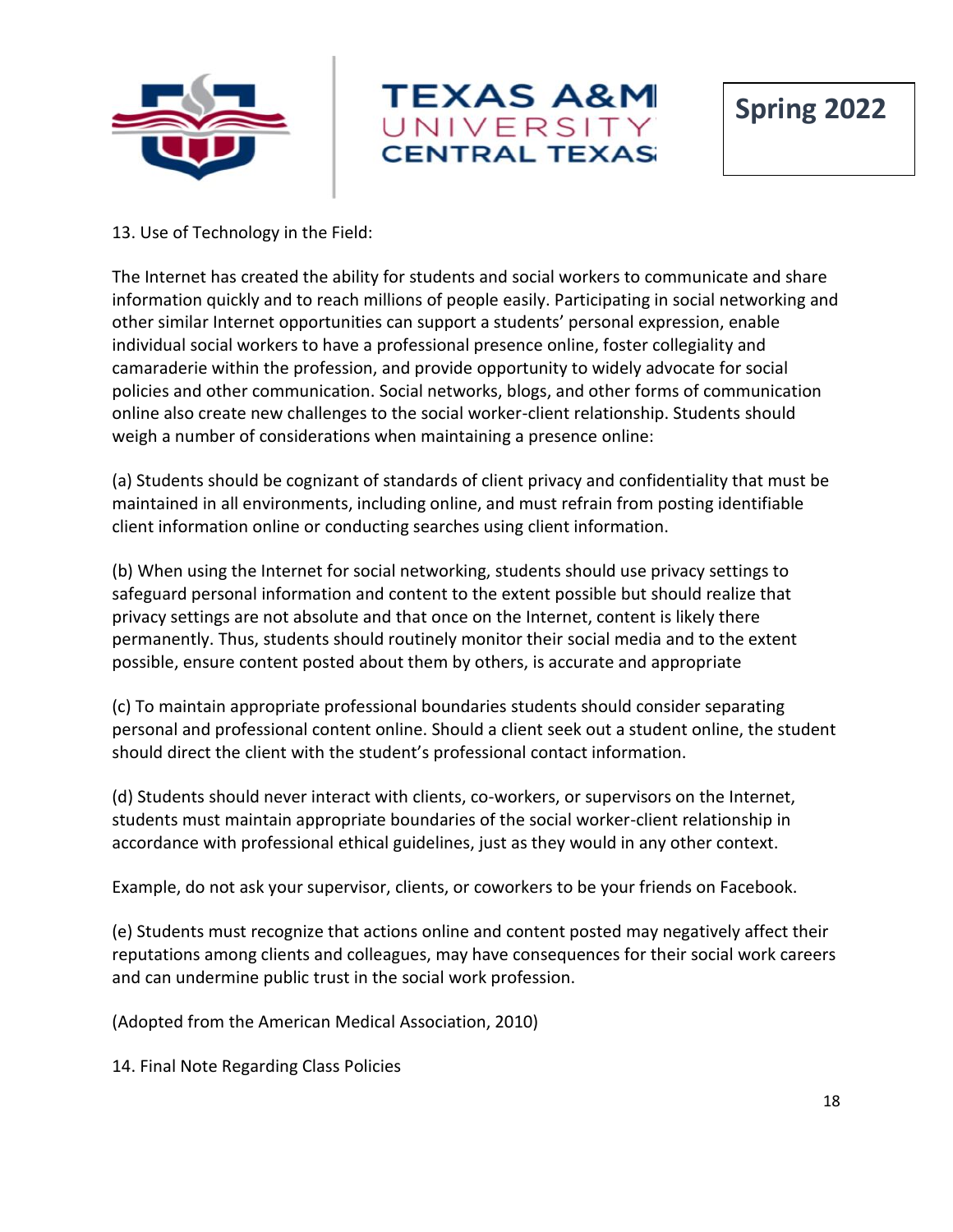



**Spring 2022**

#### 13. Use of Technology in the Field:

The Internet has created the ability for students and social workers to communicate and share information quickly and to reach millions of people easily. Participating in social networking and other similar Internet opportunities can support a students' personal expression, enable individual social workers to have a professional presence online, foster collegiality and camaraderie within the profession, and provide opportunity to widely advocate for social policies and other communication. Social networks, blogs, and other forms of communication online also create new challenges to the social worker-client relationship. Students should weigh a number of considerations when maintaining a presence online:

(a) Students should be cognizant of standards of client privacy and confidentiality that must be maintained in all environments, including online, and must refrain from posting identifiable client information online or conducting searches using client information.

(b) When using the Internet for social networking, students should use privacy settings to safeguard personal information and content to the extent possible but should realize that privacy settings are not absolute and that once on the Internet, content is likely there permanently. Thus, students should routinely monitor their social media and to the extent possible, ensure content posted about them by others, is accurate and appropriate

(c) To maintain appropriate professional boundaries students should consider separating personal and professional content online. Should a client seek out a student online, the student should direct the client with the student's professional contact information.

(d) Students should never interact with clients, co-workers, or supervisors on the Internet, students must maintain appropriate boundaries of the social worker-client relationship in accordance with professional ethical guidelines, just as they would in any other context.

Example, do not ask your supervisor, clients, or coworkers to be your friends on Facebook.

(e) Students must recognize that actions online and content posted may negatively affect their reputations among clients and colleagues, may have consequences for their social work careers and can undermine public trust in the social work profession.

(Adopted from the American Medical Association, 2010)

14. Final Note Regarding Class Policies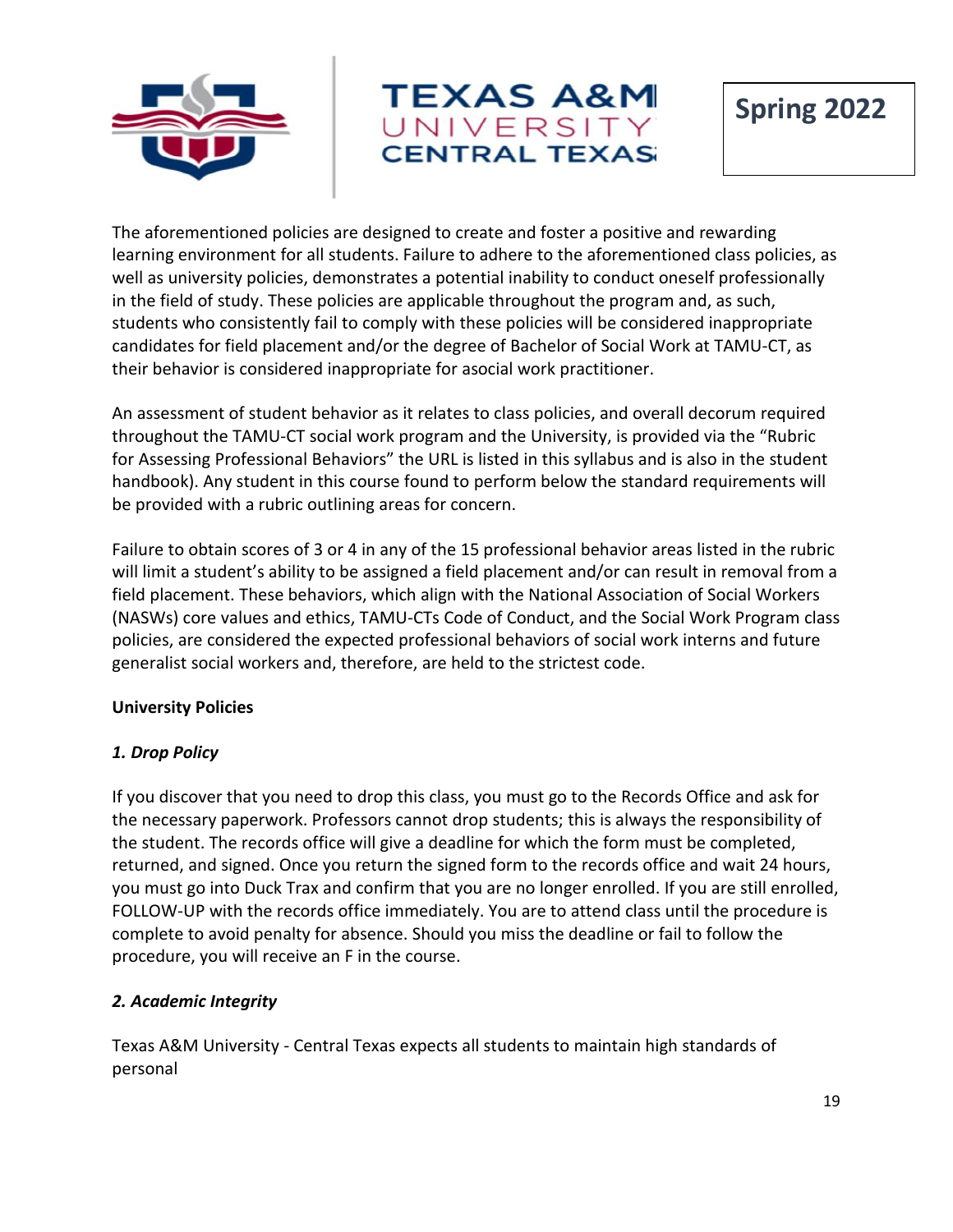



The aforementioned policies are designed to create and foster a positive and rewarding learning environment for all students. Failure to adhere to the aforementioned class policies, as well as university policies, demonstrates a potential inability to conduct oneself professionally in the field of study. These policies are applicable throughout the program and, as such, students who consistently fail to comply with these policies will be considered inappropriate candidates for field placement and/or the degree of Bachelor of Social Work at TAMU-CT, as their behavior is considered inappropriate for asocial work practitioner.

An assessment of student behavior as it relates to class policies, and overall decorum required throughout the TAMU-CT social work program and the University, is provided via the "Rubric for Assessing Professional Behaviors" the URL is listed in this syllabus and is also in the student handbook). Any student in this course found to perform below the standard requirements will be provided with a rubric outlining areas for concern.

Failure to obtain scores of 3 or 4 in any of the 15 professional behavior areas listed in the rubric will limit a student's ability to be assigned a field placement and/or can result in removal from a field placement. These behaviors, which align with the National Association of Social Workers (NASWs) core values and ethics, TAMU-CTs Code of Conduct, and the Social Work Program class policies, are considered the expected professional behaviors of social work interns and future generalist social workers and, therefore, are held to the strictest code.

#### **University Policies**

## *1. Drop Policy*

If you discover that you need to drop this class, you must go to the Records Office and ask for the necessary paperwork. Professors cannot drop students; this is always the responsibility of the student. The records office will give a deadline for which the form must be completed, returned, and signed. Once you return the signed form to the records office and wait 24 hours, you must go into Duck Trax and confirm that you are no longer enrolled. If you are still enrolled, FOLLOW-UP with the records office immediately. You are to attend class until the procedure is complete to avoid penalty for absence. Should you miss the deadline or fail to follow the procedure, you will receive an F in the course.

## *2. Academic Integrity*

Texas A&M University - Central Texas expects all students to maintain high standards of personal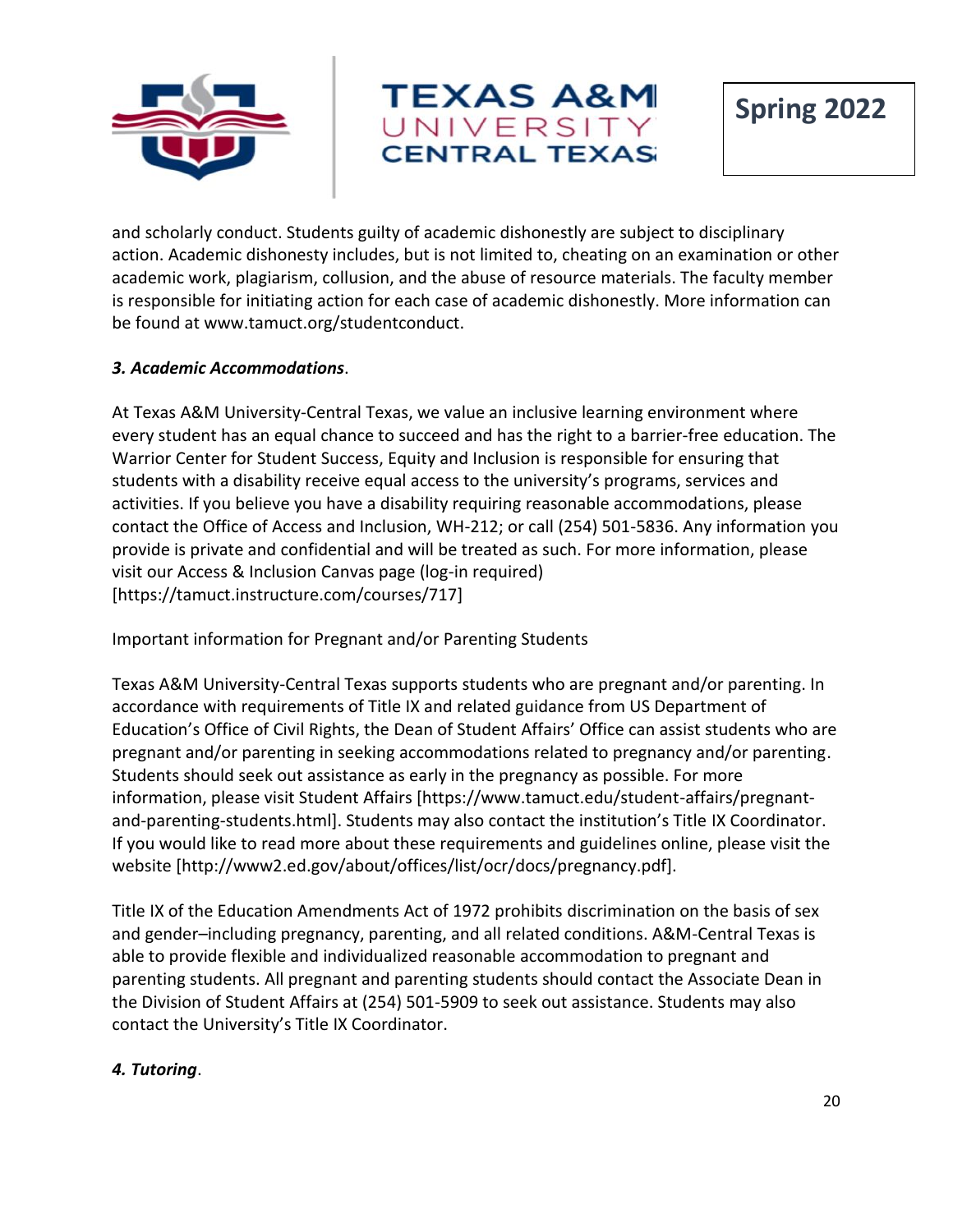



**Spring 2022**

and scholarly conduct. Students guilty of academic dishonestly are subject to disciplinary action. Academic dishonesty includes, but is not limited to, cheating on an examination or other academic work, plagiarism, collusion, and the abuse of resource materials. The faculty member is responsible for initiating action for each case of academic dishonestly. More information can be found at www.tamuct.org/studentconduct.

## *3. Academic Accommodations*.

At Texas A&M University-Central Texas, we value an inclusive learning environment where every student has an equal chance to succeed and has the right to a barrier-free education. The Warrior Center for Student Success, Equity and Inclusion is responsible for ensuring that students with a disability receive equal access to the university's programs, services and activities. If you believe you have a disability requiring reasonable accommodations, please contact the Office of Access and Inclusion, WH-212; or call (254) 501-5836. Any information you provide is private and confidential and will be treated as such. For more information, please visit our Access & Inclusion Canvas page (log-in required) [https://tamuct.instructure.com/courses/717]

Important information for Pregnant and/or Parenting Students

Texas A&M University-Central Texas supports students who are pregnant and/or parenting. In accordance with requirements of Title IX and related guidance from US Department of Education's Office of Civil Rights, the Dean of Student Affairs' Office can assist students who are pregnant and/or parenting in seeking accommodations related to pregnancy and/or parenting. Students should seek out assistance as early in the pregnancy as possible. For more information, please visit Student Affairs [https://www.tamuct.edu/student-affairs/pregnantand-parenting-students.html]. Students may also contact the institution's Title IX Coordinator. If you would like to read more about these requirements and guidelines online, please visit the website [http://www2.ed.gov/about/offices/list/ocr/docs/pregnancy.pdf].

Title IX of the Education Amendments Act of 1972 prohibits discrimination on the basis of sex and gender–including pregnancy, parenting, and all related conditions. A&M-Central Texas is able to provide flexible and individualized reasonable accommodation to pregnant and parenting students. All pregnant and parenting students should contact the Associate Dean in the Division of Student Affairs at (254) 501-5909 to seek out assistance. Students may also contact the University's Title IX Coordinator.

## *4. Tutoring*.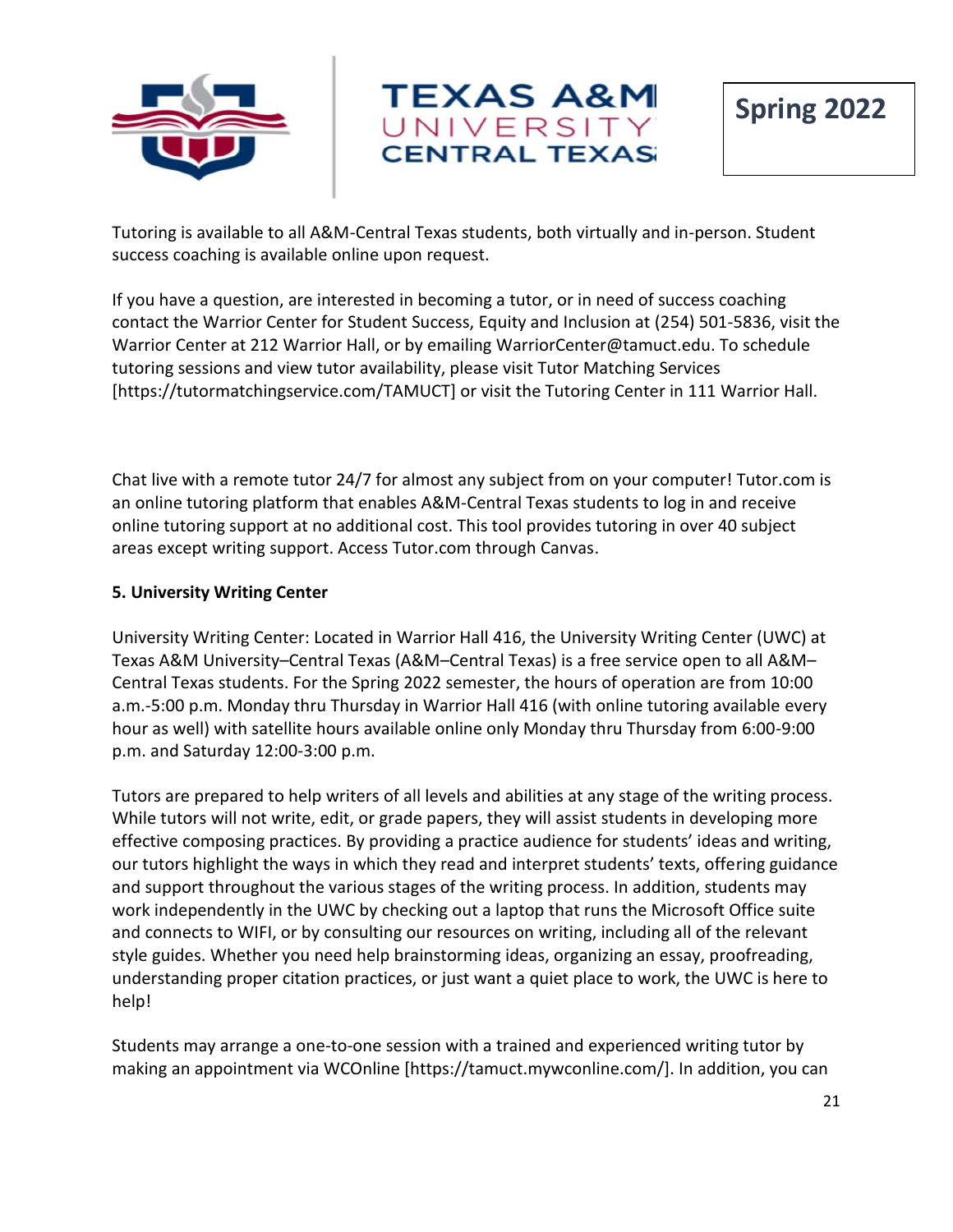



Tutoring is available to all A&M-Central Texas students, both virtually and in-person. Student success coaching is available online upon request.

If you have a question, are interested in becoming a tutor, or in need of success coaching contact the Warrior Center for Student Success, Equity and Inclusion at (254) 501-5836, visit the Warrior Center at 212 Warrior Hall, or by emailing WarriorCenter@tamuct.edu. To schedule tutoring sessions and view tutor availability, please visit Tutor Matching Services [https://tutormatchingservice.com/TAMUCT] or visit the Tutoring Center in 111 Warrior Hall.

Chat live with a remote tutor 24/7 for almost any subject from on your computer! Tutor.com is an online tutoring platform that enables A&M-Central Texas students to log in and receive online tutoring support at no additional cost. This tool provides tutoring in over 40 subject areas except writing support. Access Tutor.com through Canvas.

#### **5. University Writing Center**

University Writing Center: Located in Warrior Hall 416, the University Writing Center (UWC) at Texas A&M University–Central Texas (A&M–Central Texas) is a free service open to all A&M– Central Texas students. For the Spring 2022 semester, the hours of operation are from 10:00 a.m.-5:00 p.m. Monday thru Thursday in Warrior Hall 416 (with online tutoring available every hour as well) with satellite hours available online only Monday thru Thursday from 6:00-9:00 p.m. and Saturday 12:00-3:00 p.m.

Tutors are prepared to help writers of all levels and abilities at any stage of the writing process. While tutors will not write, edit, or grade papers, they will assist students in developing more effective composing practices. By providing a practice audience for students' ideas and writing, our tutors highlight the ways in which they read and interpret students' texts, offering guidance and support throughout the various stages of the writing process. In addition, students may work independently in the UWC by checking out a laptop that runs the Microsoft Office suite and connects to WIFI, or by consulting our resources on writing, including all of the relevant style guides. Whether you need help brainstorming ideas, organizing an essay, proofreading, understanding proper citation practices, or just want a quiet place to work, the UWC is here to help!

Students may arrange a one-to-one session with a trained and experienced writing tutor by making an appointment via WCOnline [https://tamuct.mywconline.com/]. In addition, you can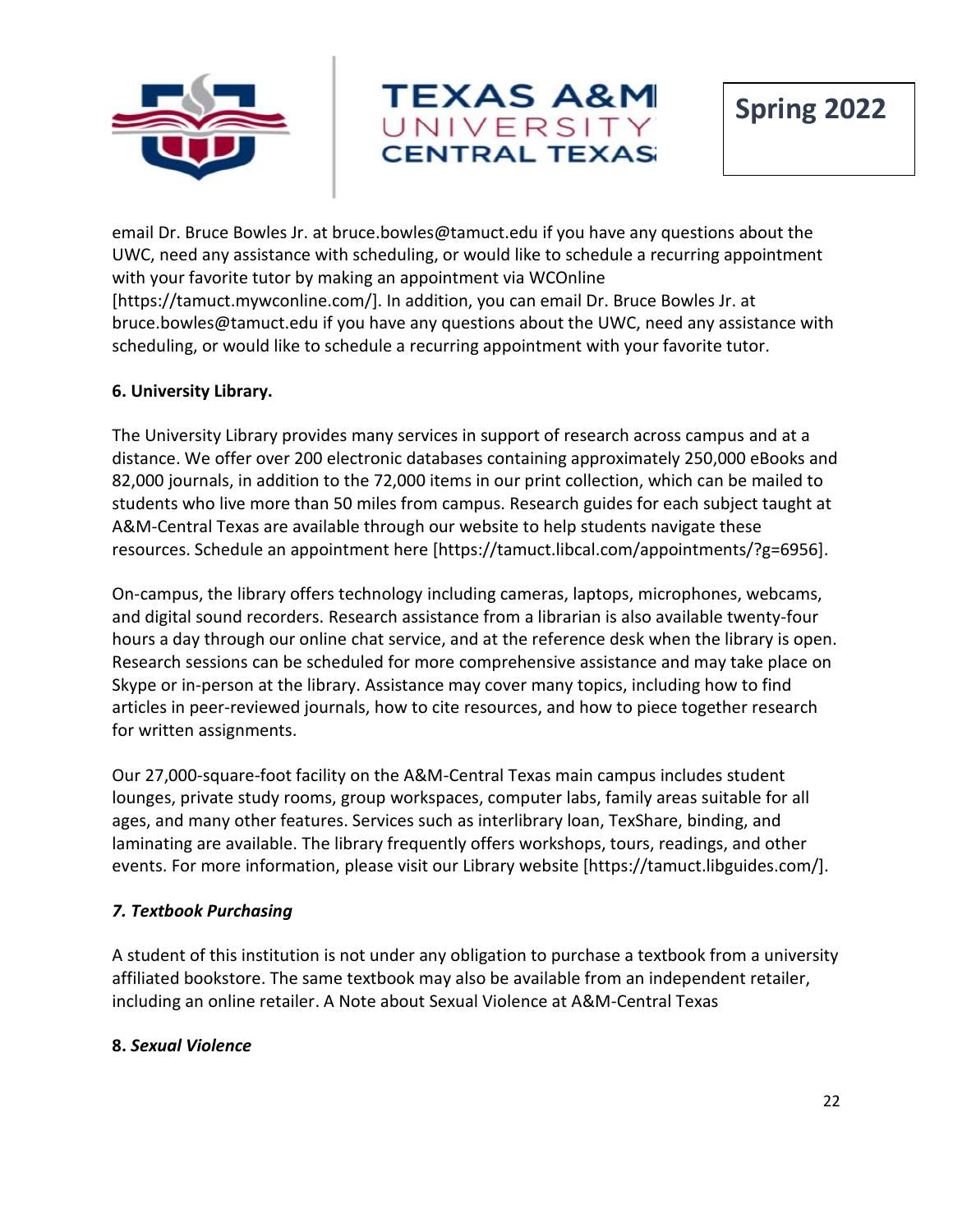



**Spring 2022**

email Dr. Bruce Bowles Jr. at bruce.bowles@tamuct.edu if you have any questions about the UWC, need any assistance with scheduling, or would like to schedule a recurring appointment with your favorite tutor by making an appointment via WCOnline [https://tamuct.mywconline.com/]. In addition, you can email Dr. Bruce Bowles Jr. at bruce.bowles@tamuct.edu if you have any questions about the UWC, need any assistance with scheduling, or would like to schedule a recurring appointment with your favorite tutor.

#### **6. University Library.**

The University Library provides many services in support of research across campus and at a distance. We offer over 200 electronic databases containing approximately 250,000 eBooks and 82,000 journals, in addition to the 72,000 items in our print collection, which can be mailed to students who live more than 50 miles from campus. Research guides for each subject taught at A&M-Central Texas are available through our website to help students navigate these resources. Schedule an appointment here [https://tamuct.libcal.com/appointments/?g=6956].

On-campus, the library offers technology including cameras, laptops, microphones, webcams, and digital sound recorders. Research assistance from a librarian is also available twenty-four hours a day through our online chat service, and at the reference desk when the library is open. Research sessions can be scheduled for more comprehensive assistance and may take place on Skype or in-person at the library. Assistance may cover many topics, including how to find articles in peer-reviewed journals, how to cite resources, and how to piece together research for written assignments.

Our 27,000-square-foot facility on the A&M-Central Texas main campus includes student lounges, private study rooms, group workspaces, computer labs, family areas suitable for all ages, and many other features. Services such as interlibrary loan, TexShare, binding, and laminating are available. The library frequently offers workshops, tours, readings, and other events. For more information, please visit our Library website [https://tamuct.libguides.com/].

## *7. Textbook Purchasing*

A student of this institution is not under any obligation to purchase a textbook from a university affiliated bookstore. The same textbook may also be available from an independent retailer, including an online retailer. A Note about Sexual Violence at A&M-Central Texas

#### **8.** *Sexual Violence*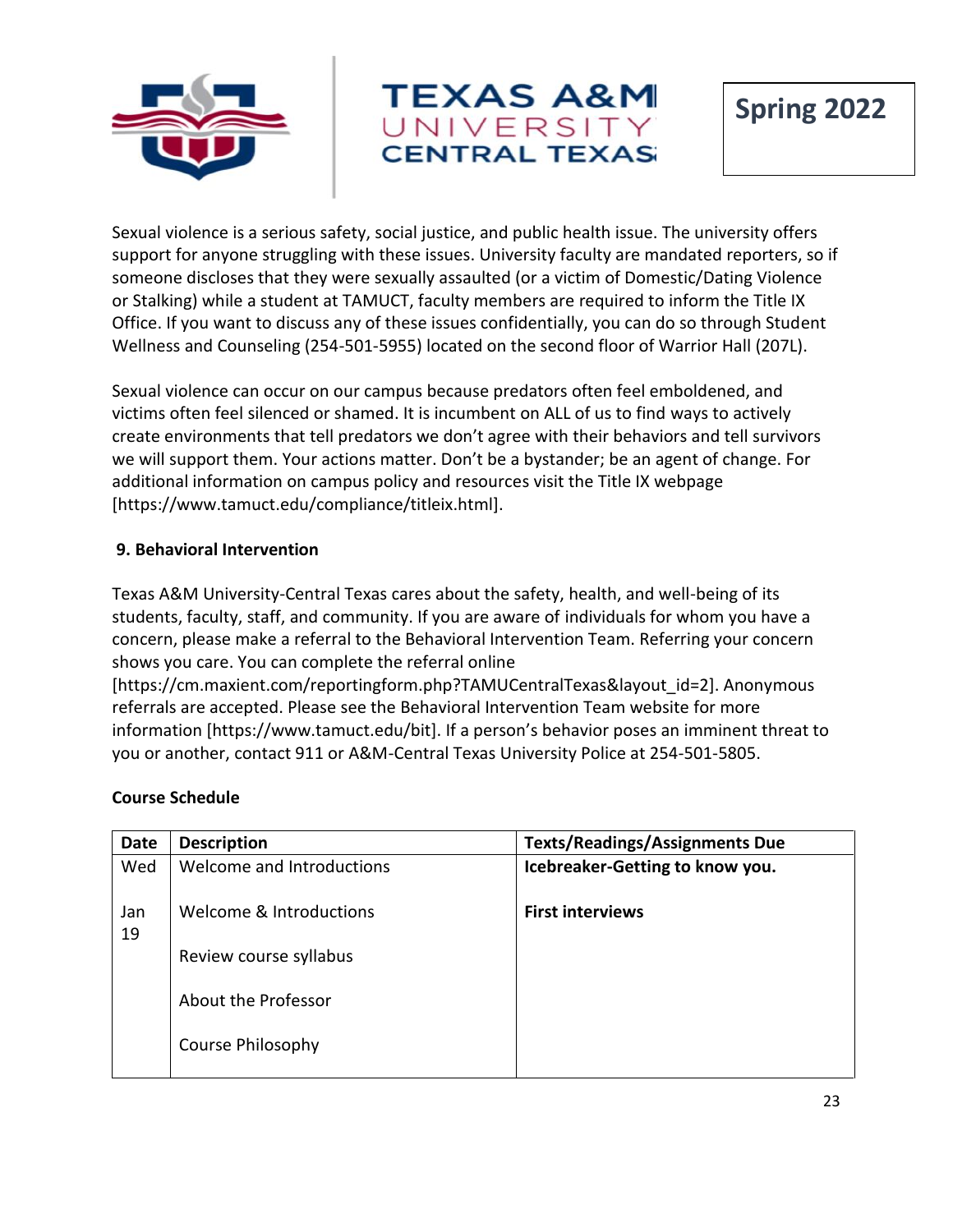



Sexual violence is a serious safety, social justice, and public health issue. The university offers support for anyone struggling with these issues. University faculty are mandated reporters, so if someone discloses that they were sexually assaulted (or a victim of Domestic/Dating Violence or Stalking) while a student at TAMUCT, faculty members are required to inform the Title IX Office. If you want to discuss any of these issues confidentially, you can do so through Student Wellness and Counseling (254-501-5955) located on the second floor of Warrior Hall (207L).

Sexual violence can occur on our campus because predators often feel emboldened, and victims often feel silenced or shamed. It is incumbent on ALL of us to find ways to actively create environments that tell predators we don't agree with their behaviors and tell survivors we will support them. Your actions matter. Don't be a bystander; be an agent of change. For additional information on campus policy and resources visit the Title IX webpage [https://www.tamuct.edu/compliance/titleix.html].

#### **9. Behavioral Intervention**

Texas A&M University-Central Texas cares about the safety, health, and well-being of its students, faculty, staff, and community. If you are aware of individuals for whom you have a concern, please make a referral to the Behavioral Intervention Team. Referring your concern shows you care. You can complete the referral online

[https://cm.maxient.com/reportingform.php?TAMUCentralTexas&layout\_id=2]. Anonymous referrals are accepted. Please see the Behavioral Intervention Team website for more information [https://www.tamuct.edu/bit]. If a person's behavior poses an imminent threat to you or another, contact 911 or A&M-Central Texas University Police at 254-501-5805.

#### **Course Schedule**

| <b>Date</b> | <b>Description</b>        | <b>Texts/Readings/Assignments Due</b> |
|-------------|---------------------------|---------------------------------------|
| Wed         | Welcome and Introductions | Icebreaker-Getting to know you.       |
| Jan<br>19   | Welcome & Introductions   | <b>First interviews</b>               |
|             | Review course syllabus    |                                       |
|             | About the Professor       |                                       |
|             | Course Philosophy         |                                       |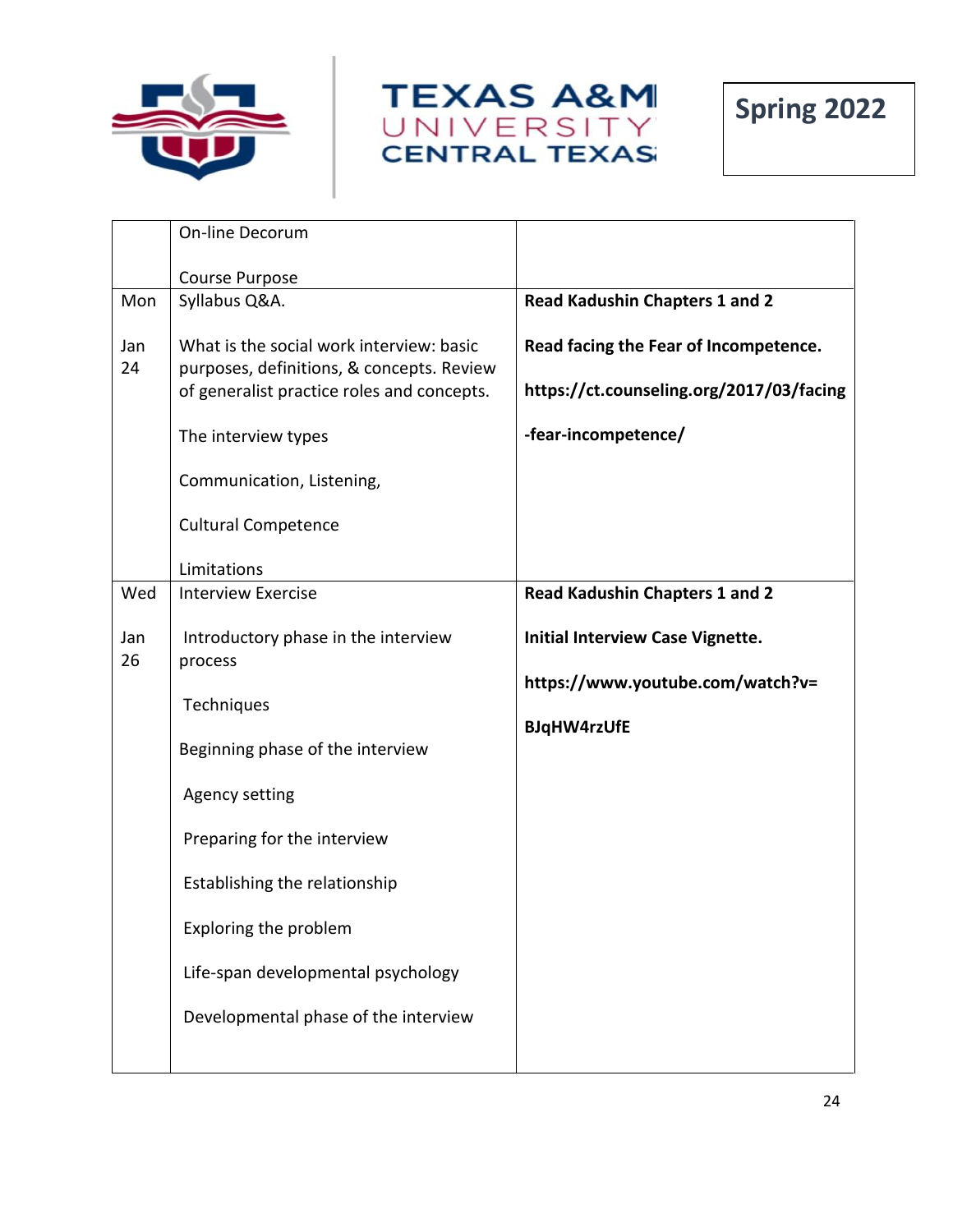





|           | On-line Decorum                                                                                                                     |                                                                                   |
|-----------|-------------------------------------------------------------------------------------------------------------------------------------|-----------------------------------------------------------------------------------|
|           | Course Purpose                                                                                                                      |                                                                                   |
| Mon       | Syllabus Q&A.                                                                                                                       | <b>Read Kadushin Chapters 1 and 2</b>                                             |
| Jan<br>24 | What is the social work interview: basic<br>purposes, definitions, & concepts. Review<br>of generalist practice roles and concepts. | Read facing the Fear of Incompetence.<br>https://ct.counseling.org/2017/03/facing |
|           | The interview types                                                                                                                 | -fear-incompetence/                                                               |
|           | Communication, Listening,                                                                                                           |                                                                                   |
|           | <b>Cultural Competence</b>                                                                                                          |                                                                                   |
|           | Limitations                                                                                                                         |                                                                                   |
| Wed       | <b>Interview Exercise</b>                                                                                                           | <b>Read Kadushin Chapters 1 and 2</b>                                             |
| Jan<br>26 | Introductory phase in the interview<br>process                                                                                      | <b>Initial Interview Case Vignette.</b><br>https://www.youtube.com/watch?v=       |
|           | Techniques                                                                                                                          |                                                                                   |
|           | Beginning phase of the interview                                                                                                    | <b>BJqHW4rzUfE</b>                                                                |
|           | <b>Agency setting</b>                                                                                                               |                                                                                   |
|           | Preparing for the interview                                                                                                         |                                                                                   |
|           | Establishing the relationship                                                                                                       |                                                                                   |
|           | Exploring the problem                                                                                                               |                                                                                   |
|           | Life-span developmental psychology                                                                                                  |                                                                                   |
|           | Developmental phase of the interview                                                                                                |                                                                                   |
|           |                                                                                                                                     |                                                                                   |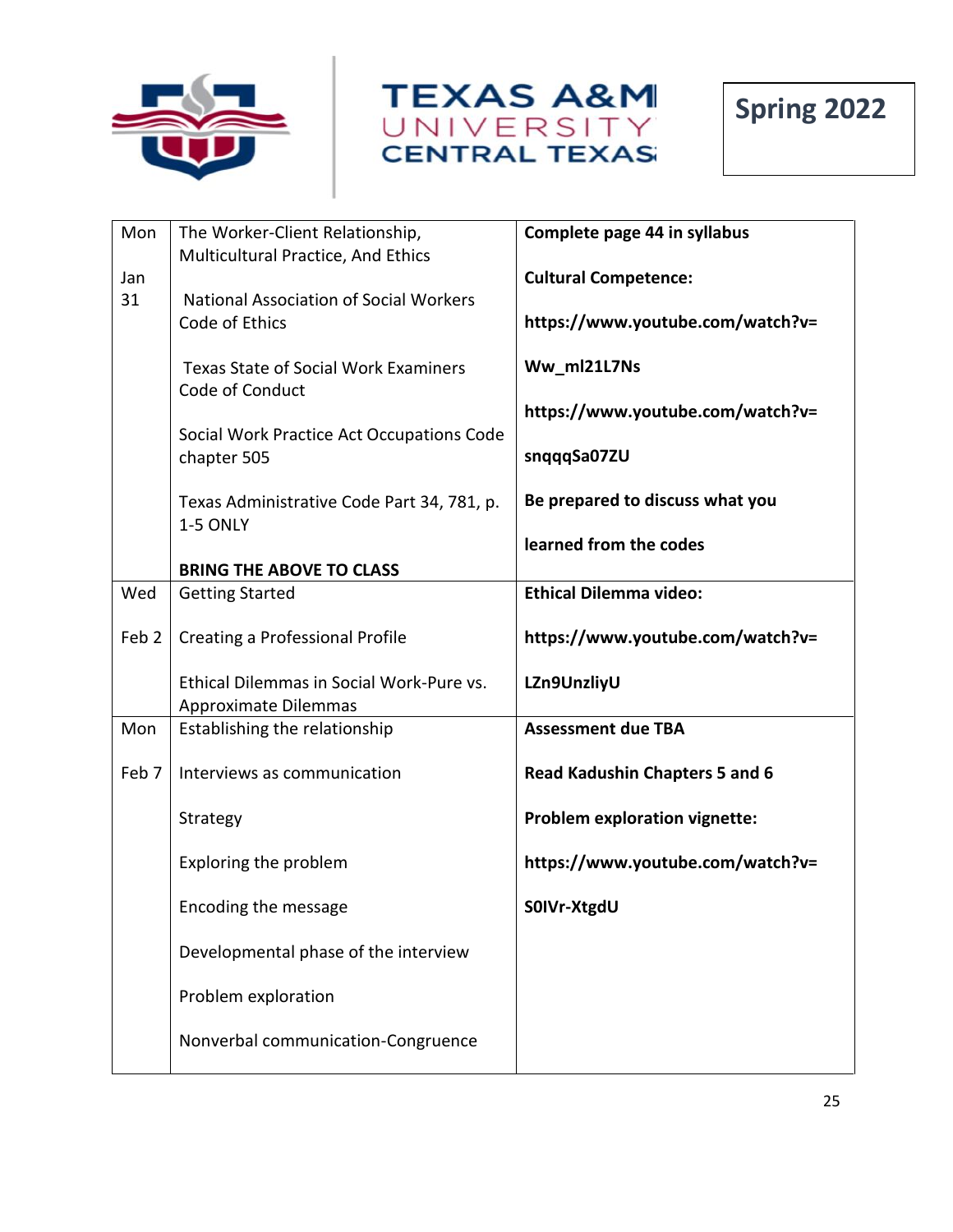





| Mon              | The Worker-Client Relationship,                                  | Complete page 44 in syllabus                    |
|------------------|------------------------------------------------------------------|-------------------------------------------------|
| Jan              | Multicultural Practice, And Ethics                               | <b>Cultural Competence:</b>                     |
| 31               | <b>National Association of Social Workers</b><br>Code of Ethics  | https://www.youtube.com/watch?v=                |
|                  | <b>Texas State of Social Work Examiners</b><br>Code of Conduct   | Ww_ml21L7Ns                                     |
|                  | Social Work Practice Act Occupations Code<br>chapter 505         | https://www.youtube.com/watch?v=<br>snqqqSa07ZU |
|                  |                                                                  |                                                 |
|                  | Texas Administrative Code Part 34, 781, p.                       | Be prepared to discuss what you                 |
|                  | 1-5 ONLY                                                         | learned from the codes                          |
|                  | <b>BRING THE ABOVE TO CLASS</b>                                  |                                                 |
| Wed              | <b>Getting Started</b>                                           | <b>Ethical Dilemma video:</b>                   |
| Feb <sub>2</sub> | <b>Creating a Professional Profile</b>                           | https://www.youtube.com/watch?v=                |
|                  | Ethical Dilemmas in Social Work-Pure vs.<br>Approximate Dilemmas | LZn9UnzliyU                                     |
| Mon              | Establishing the relationship                                    | <b>Assessment due TBA</b>                       |
| Feb 7            | Interviews as communication                                      | <b>Read Kadushin Chapters 5 and 6</b>           |
|                  | Strategy                                                         | <b>Problem exploration vignette:</b>            |
|                  | Exploring the problem                                            | https://www.youtube.com/watch?v=                |
|                  | Encoding the message                                             | S0IVr-XtgdU                                     |
|                  | Developmental phase of the interview                             |                                                 |
|                  | Problem exploration                                              |                                                 |
|                  | Nonverbal communication-Congruence                               |                                                 |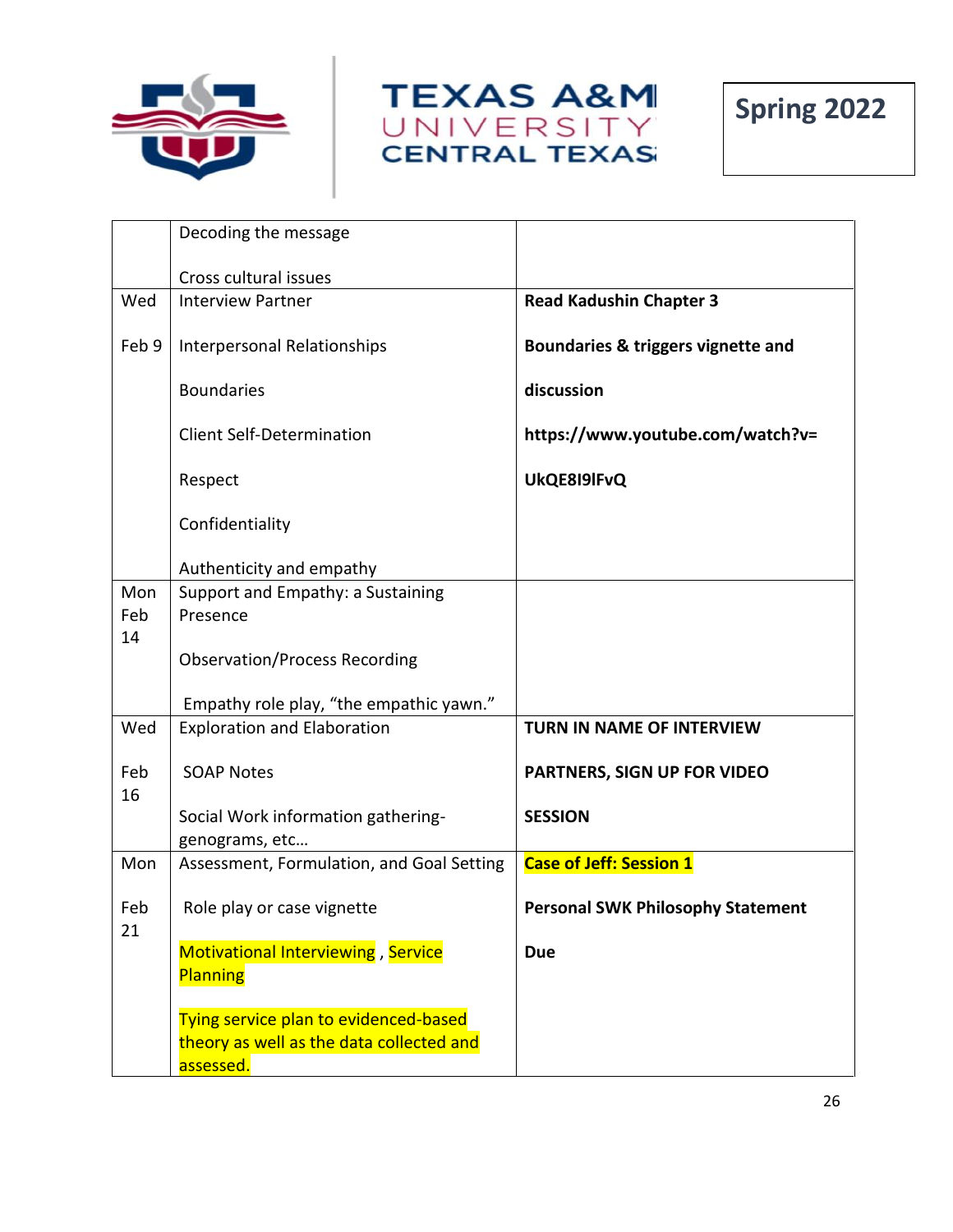





|           | Decoding the message                                 |                                          |
|-----------|------------------------------------------------------|------------------------------------------|
|           | Cross cultural issues                                |                                          |
| Wed       | <b>Interview Partner</b>                             | <b>Read Kadushin Chapter 3</b>           |
| Feb 9     | Interpersonal Relationships                          | Boundaries & triggers vignette and       |
|           | <b>Boundaries</b>                                    | discussion                               |
|           | <b>Client Self-Determination</b>                     | https://www.youtube.com/watch?v=         |
|           | Respect                                              | UkQE8I9IFvQ                              |
|           | Confidentiality                                      |                                          |
|           | Authenticity and empathy                             |                                          |
| Mon       | Support and Empathy: a Sustaining                    |                                          |
| Feb       | Presence                                             |                                          |
| 14        | <b>Observation/Process Recording</b>                 |                                          |
|           | Empathy role play, "the empathic yawn."              |                                          |
| Wed       | <b>Exploration and Elaboration</b>                   | TURN IN NAME OF INTERVIEW                |
| Feb<br>16 | <b>SOAP Notes</b>                                    | PARTNERS, SIGN UP FOR VIDEO              |
|           | Social Work information gathering-<br>genograms, etc | <b>SESSION</b>                           |
| Mon       | Assessment, Formulation, and Goal Setting            | <b>Case of Jeff: Session 1</b>           |
| Feb<br>21 | Role play or case vignette                           | <b>Personal SWK Philosophy Statement</b> |
|           | Motivational Interviewing, Service                   | <b>Due</b>                               |
|           | Planning                                             |                                          |
|           | Tying service plan to evidenced-based                |                                          |
|           | theory as well as the data collected and             |                                          |
|           | assessed.                                            |                                          |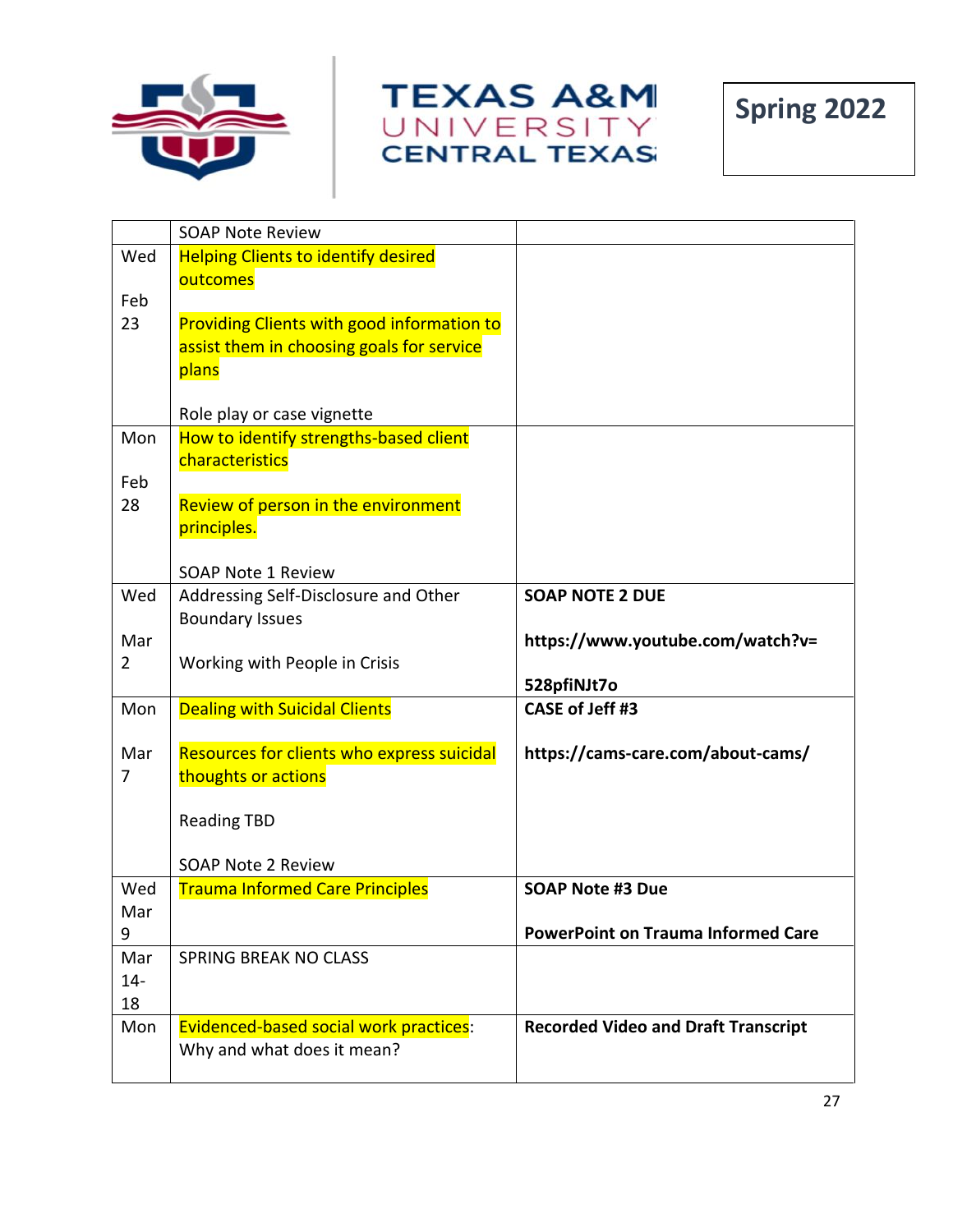





| <b>Helping Clients to identify desired</b><br>Wed<br>outcomes<br>Feb<br>23<br><b>Providing Clients with good information to</b><br>assist them in choosing goals for service<br>plans<br>Role play or case vignette<br>How to identify strengths-based client<br>Mon<br>characteristics<br>Feb<br>Review of person in the environment<br>28<br>principles.<br><b>SOAP Note 1 Review</b> |
|-----------------------------------------------------------------------------------------------------------------------------------------------------------------------------------------------------------------------------------------------------------------------------------------------------------------------------------------------------------------------------------------|
|                                                                                                                                                                                                                                                                                                                                                                                         |
|                                                                                                                                                                                                                                                                                                                                                                                         |
|                                                                                                                                                                                                                                                                                                                                                                                         |
|                                                                                                                                                                                                                                                                                                                                                                                         |
|                                                                                                                                                                                                                                                                                                                                                                                         |
|                                                                                                                                                                                                                                                                                                                                                                                         |
|                                                                                                                                                                                                                                                                                                                                                                                         |
|                                                                                                                                                                                                                                                                                                                                                                                         |
|                                                                                                                                                                                                                                                                                                                                                                                         |
|                                                                                                                                                                                                                                                                                                                                                                                         |
|                                                                                                                                                                                                                                                                                                                                                                                         |
|                                                                                                                                                                                                                                                                                                                                                                                         |
|                                                                                                                                                                                                                                                                                                                                                                                         |
|                                                                                                                                                                                                                                                                                                                                                                                         |
| Wed<br><b>SOAP NOTE 2 DUE</b><br>Addressing Self-Disclosure and Other                                                                                                                                                                                                                                                                                                                   |
| <b>Boundary Issues</b><br>Mar<br>https://www.youtube.com/watch?v=                                                                                                                                                                                                                                                                                                                       |
| $\overline{2}$<br>Working with People in Crisis                                                                                                                                                                                                                                                                                                                                         |
| 528pfiNJt7o                                                                                                                                                                                                                                                                                                                                                                             |
| CASE of Jeff #3<br><b>Dealing with Suicidal Clients</b><br>Mon                                                                                                                                                                                                                                                                                                                          |
|                                                                                                                                                                                                                                                                                                                                                                                         |
| Resources for clients who express suicidal<br>https://cams-care.com/about-cams/<br>Mar                                                                                                                                                                                                                                                                                                  |
| 7<br>thoughts or actions                                                                                                                                                                                                                                                                                                                                                                |
| <b>Reading TBD</b>                                                                                                                                                                                                                                                                                                                                                                      |
|                                                                                                                                                                                                                                                                                                                                                                                         |
| <b>SOAP Note 2 Review</b>                                                                                                                                                                                                                                                                                                                                                               |
| <b>Trauma Informed Care Principles</b><br><b>SOAP Note #3 Due</b><br>Wed                                                                                                                                                                                                                                                                                                                |
| Mar                                                                                                                                                                                                                                                                                                                                                                                     |
| <b>PowerPoint on Trauma Informed Care</b><br>9                                                                                                                                                                                                                                                                                                                                          |
| <b>SPRING BREAK NO CLASS</b><br>Mar                                                                                                                                                                                                                                                                                                                                                     |
| $14 -$                                                                                                                                                                                                                                                                                                                                                                                  |
| 18                                                                                                                                                                                                                                                                                                                                                                                      |
| Evidenced-based social work practices:<br>Mon<br><b>Recorded Video and Draft Transcript</b>                                                                                                                                                                                                                                                                                             |
| Why and what does it mean?                                                                                                                                                                                                                                                                                                                                                              |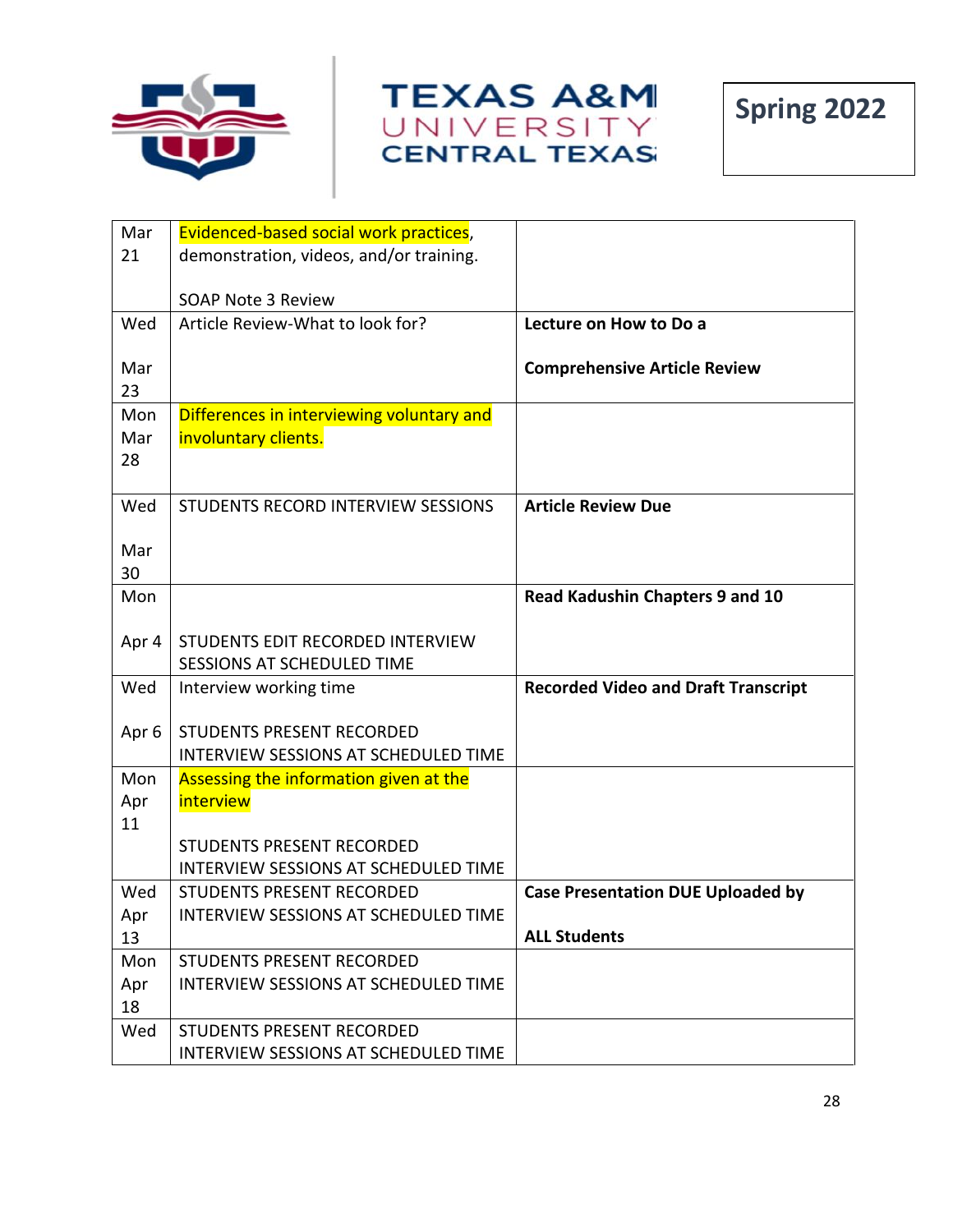





| Mar              | Evidenced-based social work practices,                            |                                            |
|------------------|-------------------------------------------------------------------|--------------------------------------------|
| 21               | demonstration, videos, and/or training.                           |                                            |
|                  |                                                                   |                                            |
|                  | <b>SOAP Note 3 Review</b>                                         |                                            |
| Wed              | Article Review-What to look for?                                  | Lecture on How to Do a                     |
| Mar              |                                                                   |                                            |
| 23               |                                                                   | <b>Comprehensive Article Review</b>        |
| Mon              | Differences in interviewing voluntary and                         |                                            |
| Mar              | involuntary clients.                                              |                                            |
| 28               |                                                                   |                                            |
|                  |                                                                   |                                            |
| Wed              | STUDENTS RECORD INTERVIEW SESSIONS                                | <b>Article Review Due</b>                  |
|                  |                                                                   |                                            |
| Mar              |                                                                   |                                            |
| 30               |                                                                   |                                            |
| Mon              |                                                                   | Read Kadushin Chapters 9 and 10            |
| Apr 4            | STUDENTS EDIT RECORDED INTERVIEW                                  |                                            |
|                  | <b>SESSIONS AT SCHEDULED TIME</b>                                 |                                            |
| Wed              | Interview working time                                            | <b>Recorded Video and Draft Transcript</b> |
|                  |                                                                   |                                            |
| Apr <sub>6</sub> | <b>STUDENTS PRESENT RECORDED</b>                                  |                                            |
|                  | <b>INTERVIEW SESSIONS AT SCHEDULED TIME</b>                       |                                            |
| Mon              | Assessing the information given at the                            |                                            |
| Apr              | interview                                                         |                                            |
| 11               |                                                                   |                                            |
|                  | <b>STUDENTS PRESENT RECORDED</b>                                  |                                            |
|                  | <b>INTERVIEW SESSIONS AT SCHEDULED TIME</b>                       |                                            |
| Wed              | STUDENTS PRESENT RECORDED<br>INTERVIEW SESSIONS AT SCHEDULED TIME | <b>Case Presentation DUE Uploaded by</b>   |
| Apr<br>13        |                                                                   | <b>ALL Students</b>                        |
| Mon              | <b>STUDENTS PRESENT RECORDED</b>                                  |                                            |
| Apr              | <b>INTERVIEW SESSIONS AT SCHEDULED TIME</b>                       |                                            |
| 18               |                                                                   |                                            |
| Wed              | STUDENTS PRESENT RECORDED                                         |                                            |
|                  | INTERVIEW SESSIONS AT SCHEDULED TIME                              |                                            |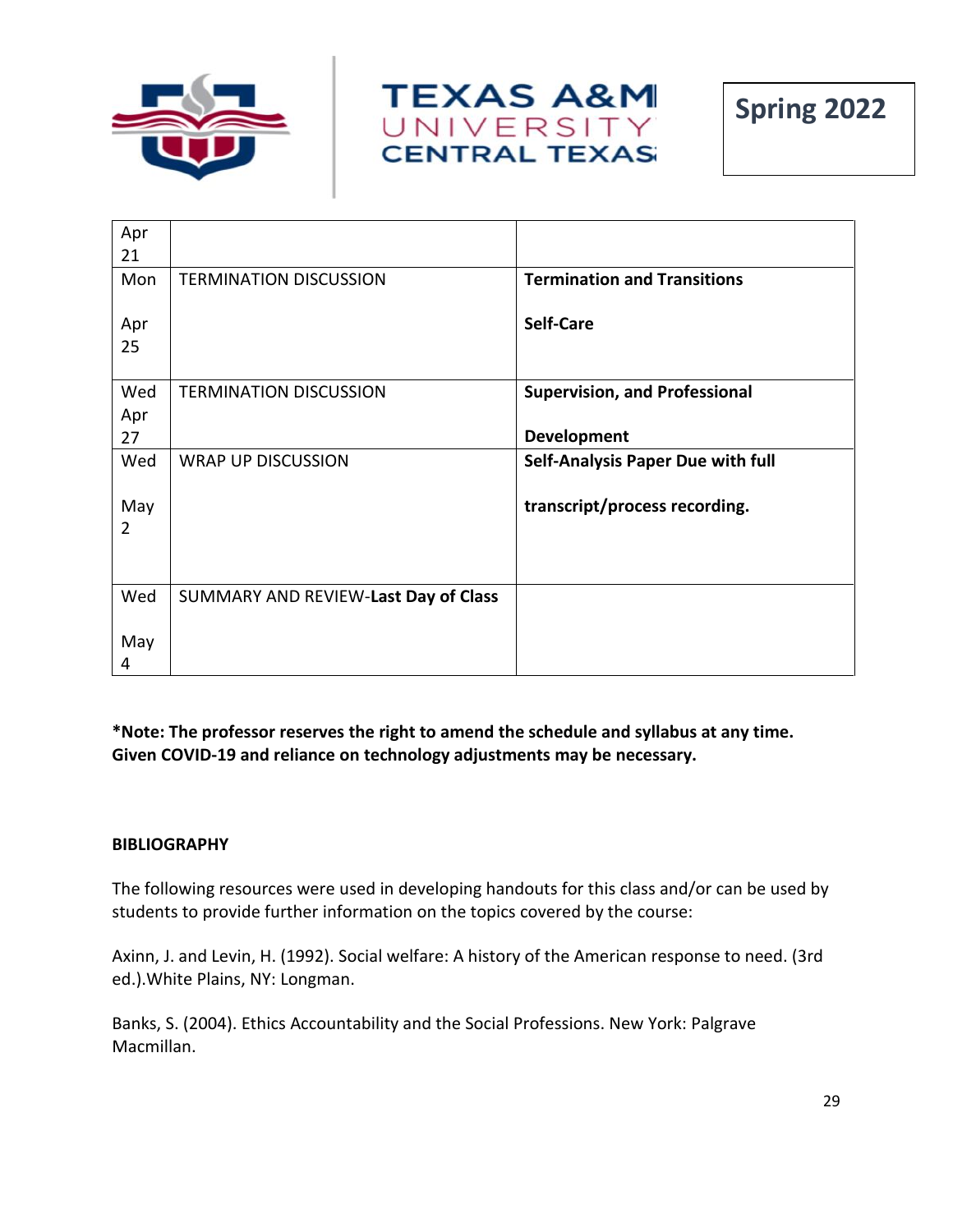





| Apr            |                                      |                                          |
|----------------|--------------------------------------|------------------------------------------|
| 21             |                                      |                                          |
| Mon            | <b>TERMINATION DISCUSSION</b>        | <b>Termination and Transitions</b>       |
| Apr            |                                      | <b>Self-Care</b>                         |
| 25             |                                      |                                          |
| Wed            | <b>TERMINATION DISCUSSION</b>        | <b>Supervision, and Professional</b>     |
| Apr            |                                      |                                          |
| 27             |                                      | <b>Development</b>                       |
| Wed            | <b>WRAP UP DISCUSSION</b>            | <b>Self-Analysis Paper Due with full</b> |
| May            |                                      | transcript/process recording.            |
| $\overline{2}$ |                                      |                                          |
|                |                                      |                                          |
| Wed            | SUMMARY AND REVIEW-Last Day of Class |                                          |
| May            |                                      |                                          |
| 4              |                                      |                                          |

**\*Note: The professor reserves the right to amend the schedule and syllabus at any time. Given COVID-19 and reliance on technology adjustments may be necessary.**

#### **BIBLIOGRAPHY**

The following resources were used in developing handouts for this class and/or can be used by students to provide further information on the topics covered by the course:

Axinn, J. and Levin, H. (1992). Social welfare: A history of the American response to need. (3rd ed.).White Plains, NY: Longman.

Banks, S. (2004). Ethics Accountability and the Social Professions. New York: Palgrave Macmillan.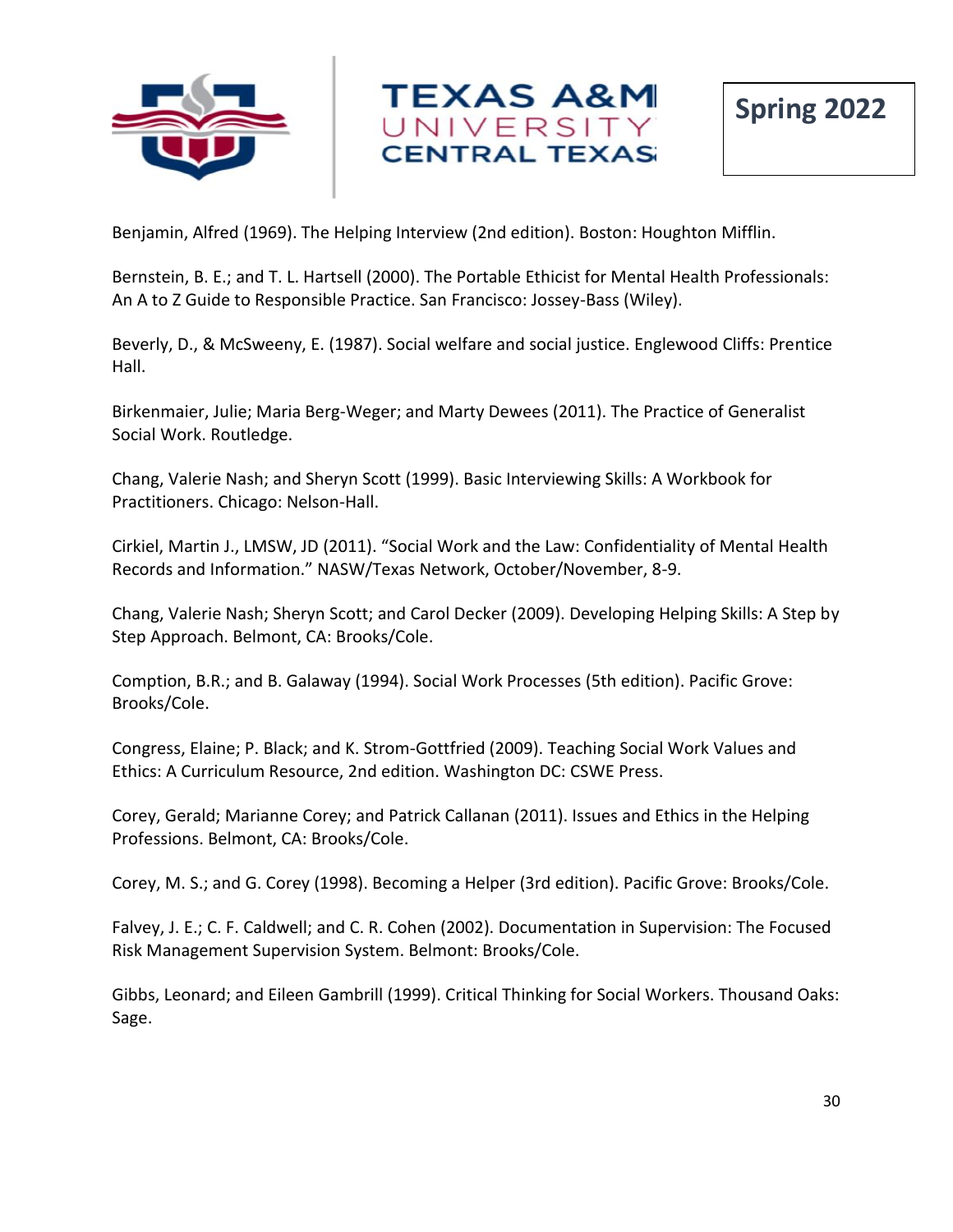



Benjamin, Alfred (1969). The Helping Interview (2nd edition). Boston: Houghton Mifflin.

Bernstein, B. E.; and T. L. Hartsell (2000). The Portable Ethicist for Mental Health Professionals: An A to Z Guide to Responsible Practice. San Francisco: Jossey-Bass (Wiley).

Beverly, D., & McSweeny, E. (1987). Social welfare and social justice. Englewood Cliffs: Prentice Hall.

Birkenmaier, Julie; Maria Berg-Weger; and Marty Dewees (2011). The Practice of Generalist Social Work. Routledge.

Chang, Valerie Nash; and Sheryn Scott (1999). Basic Interviewing Skills: A Workbook for Practitioners. Chicago: Nelson-Hall.

Cirkiel, Martin J., LMSW, JD (2011). "Social Work and the Law: Confidentiality of Mental Health Records and Information." NASW/Texas Network, October/November, 8-9.

Chang, Valerie Nash; Sheryn Scott; and Carol Decker (2009). Developing Helping Skills: A Step by Step Approach. Belmont, CA: Brooks/Cole.

Comption, B.R.; and B. Galaway (1994). Social Work Processes (5th edition). Pacific Grove: Brooks/Cole.

Congress, Elaine; P. Black; and K. Strom-Gottfried (2009). Teaching Social Work Values and Ethics: A Curriculum Resource, 2nd edition. Washington DC: CSWE Press.

Corey, Gerald; Marianne Corey; and Patrick Callanan (2011). Issues and Ethics in the Helping Professions. Belmont, CA: Brooks/Cole.

Corey, M. S.; and G. Corey (1998). Becoming a Helper (3rd edition). Pacific Grove: Brooks/Cole.

Falvey, J. E.; C. F. Caldwell; and C. R. Cohen (2002). Documentation in Supervision: The Focused Risk Management Supervision System. Belmont: Brooks/Cole.

Gibbs, Leonard; and Eileen Gambrill (1999). Critical Thinking for Social Workers. Thousand Oaks: Sage.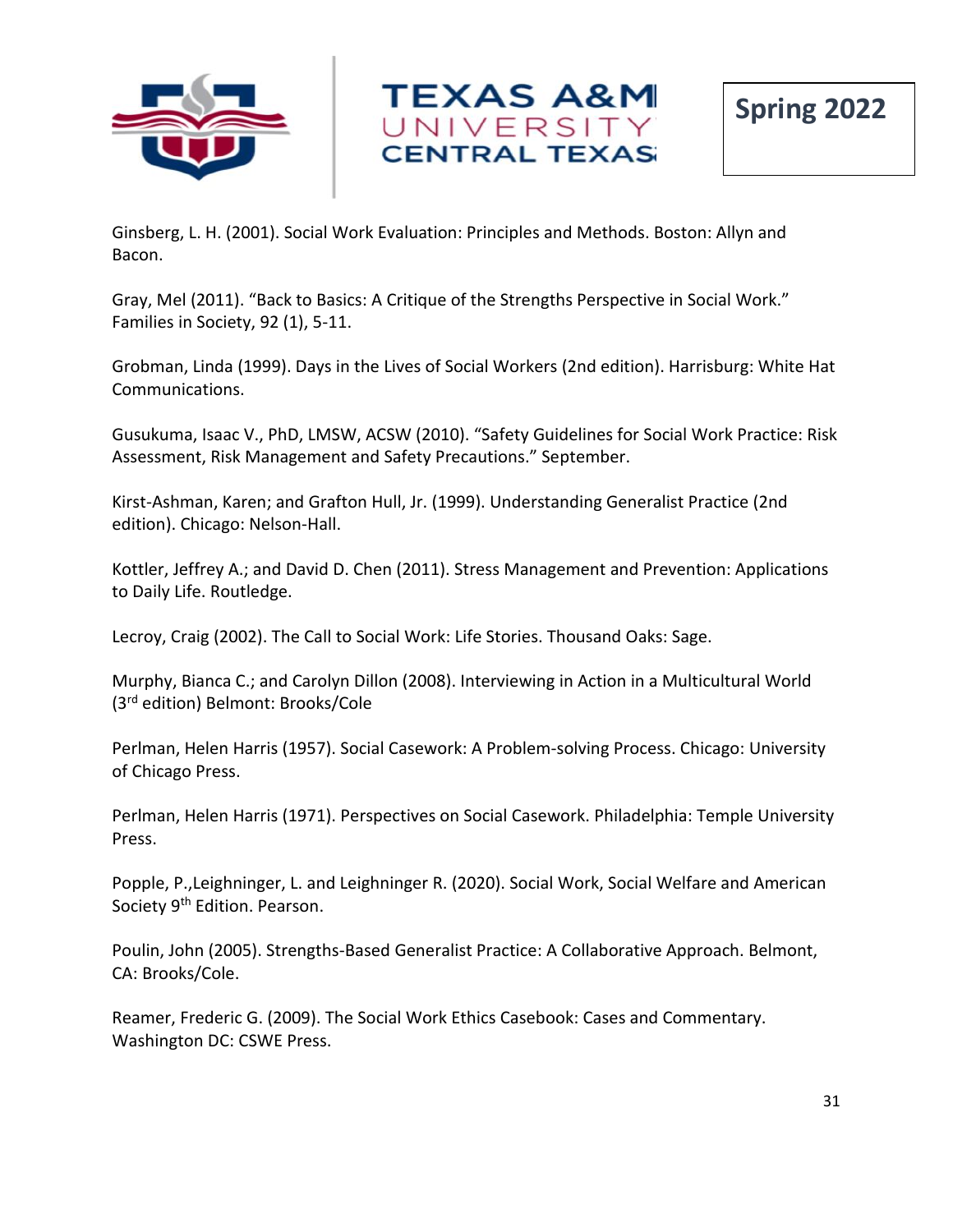



Ginsberg, L. H. (2001). Social Work Evaluation: Principles and Methods. Boston: Allyn and Bacon.

Gray, Mel (2011). "Back to Basics: A Critique of the Strengths Perspective in Social Work." Families in Society, 92 (1), 5-11.

Grobman, Linda (1999). Days in the Lives of Social Workers (2nd edition). Harrisburg: White Hat Communications.

Gusukuma, Isaac V., PhD, LMSW, ACSW (2010). "Safety Guidelines for Social Work Practice: Risk Assessment, Risk Management and Safety Precautions." September.

Kirst-Ashman, Karen; and Grafton Hull, Jr. (1999). Understanding Generalist Practice (2nd edition). Chicago: Nelson-Hall.

Kottler, Jeffrey A.; and David D. Chen (2011). Stress Management and Prevention: Applications to Daily Life. Routledge.

Lecroy, Craig (2002). The Call to Social Work: Life Stories. Thousand Oaks: Sage.

Murphy, Bianca C.; and Carolyn Dillon (2008). Interviewing in Action in a Multicultural World (3rd edition) Belmont: Brooks/Cole

Perlman, Helen Harris (1957). Social Casework: A Problem-solving Process. Chicago: University of Chicago Press.

Perlman, Helen Harris (1971). Perspectives on Social Casework. Philadelphia: Temple University Press.

Popple, P.,Leighninger, L. and Leighninger R. (2020). Social Work, Social Welfare and American Society 9<sup>th</sup> Edition. Pearson.

Poulin, John (2005). Strengths-Based Generalist Practice: A Collaborative Approach. Belmont, CA: Brooks/Cole.

Reamer, Frederic G. (2009). The Social Work Ethics Casebook: Cases and Commentary. Washington DC: CSWE Press.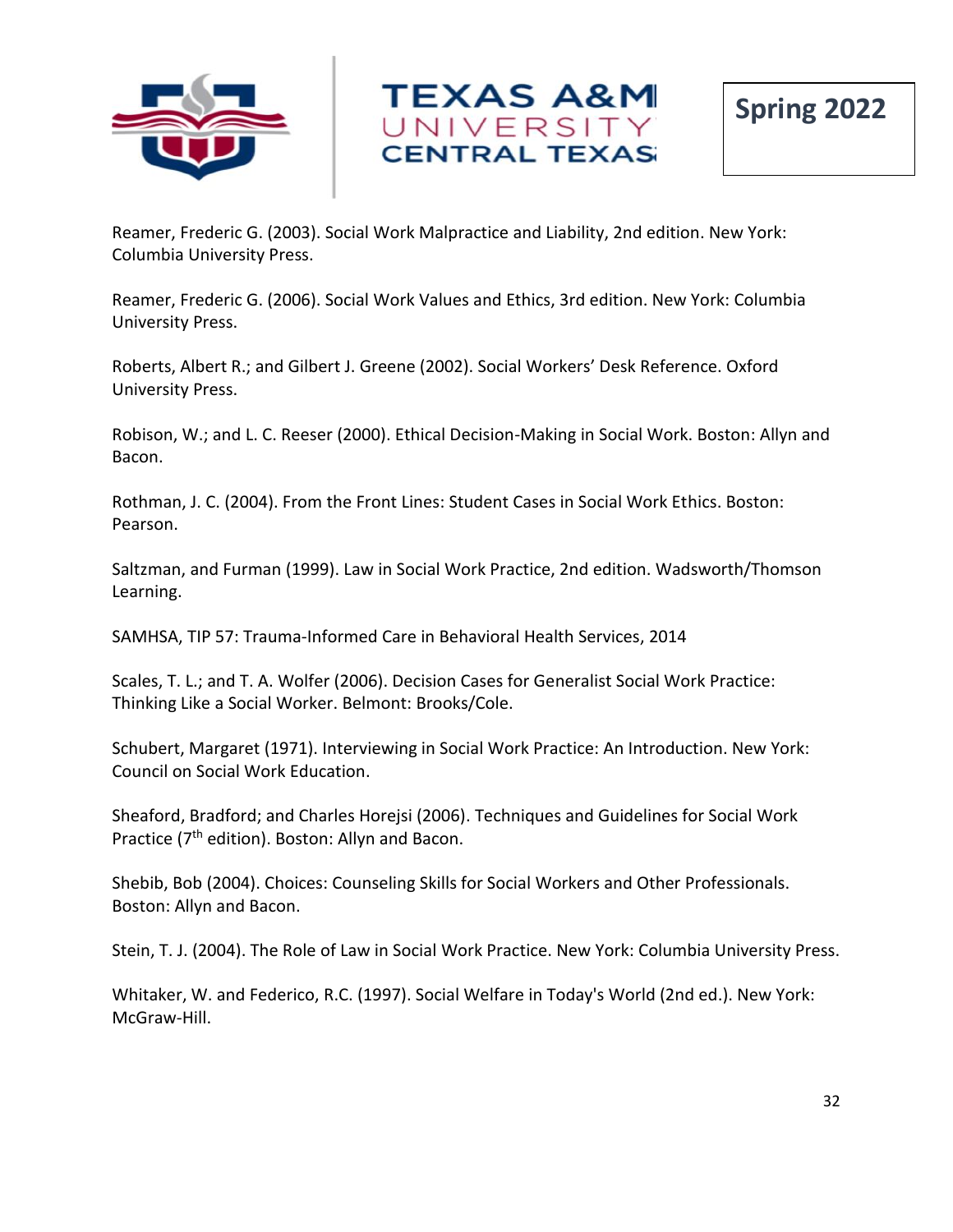



Reamer, Frederic G. (2003). Social Work Malpractice and Liability, 2nd edition. New York: Columbia University Press.

Reamer, Frederic G. (2006). Social Work Values and Ethics, 3rd edition. New York: Columbia University Press.

Roberts, Albert R.; and Gilbert J. Greene (2002). Social Workers' Desk Reference. Oxford University Press.

Robison, W.; and L. C. Reeser (2000). Ethical Decision-Making in Social Work. Boston: Allyn and Bacon.

Rothman, J. C. (2004). From the Front Lines: Student Cases in Social Work Ethics. Boston: Pearson.

Saltzman, and Furman (1999). Law in Social Work Practice, 2nd edition. Wadsworth/Thomson Learning.

SAMHSA, TIP 57: Trauma-Informed Care in Behavioral Health Services, 2014

Scales, T. L.; and T. A. Wolfer (2006). Decision Cases for Generalist Social Work Practice: Thinking Like a Social Worker. Belmont: Brooks/Cole.

Schubert, Margaret (1971). Interviewing in Social Work Practice: An Introduction. New York: Council on Social Work Education.

Sheaford, Bradford; and Charles Horejsi (2006). Techniques and Guidelines for Social Work Practice (7<sup>th</sup> edition). Boston: Allyn and Bacon.

Shebib, Bob (2004). Choices: Counseling Skills for Social Workers and Other Professionals. Boston: Allyn and Bacon.

Stein, T. J. (2004). The Role of Law in Social Work Practice. New York: Columbia University Press.

Whitaker, W. and Federico, R.C. (1997). Social Welfare in Today's World (2nd ed.). New York: McGraw-Hill.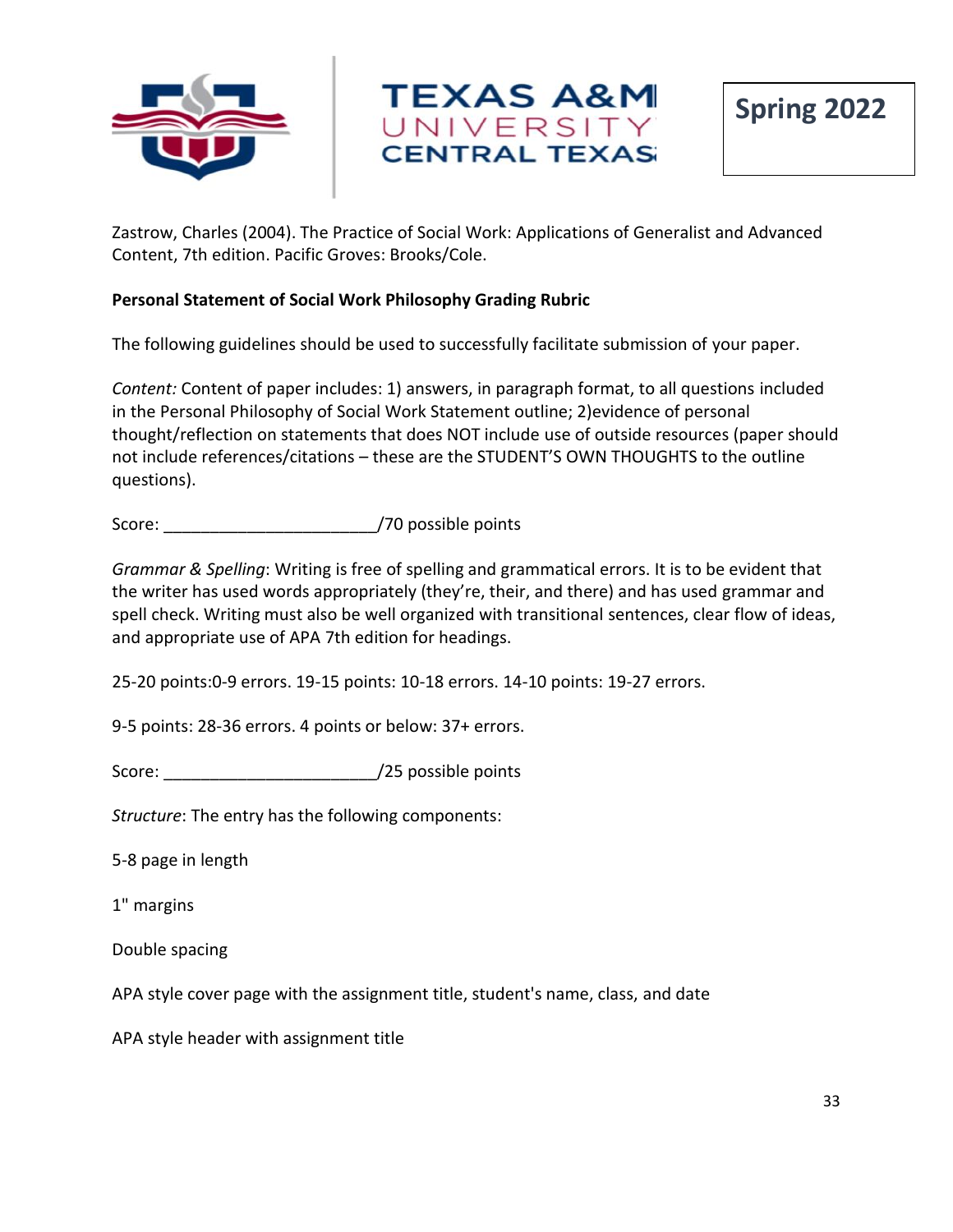



Zastrow, Charles (2004). The Practice of Social Work: Applications of Generalist and Advanced Content, 7th edition. Pacific Groves: Brooks/Cole.

## **Personal Statement of Social Work Philosophy Grading Rubric**

The following guidelines should be used to successfully facilitate submission of your paper.

*Content:* Content of paper includes: 1) answers, in paragraph format, to all questions included in the Personal Philosophy of Social Work Statement outline; 2)evidence of personal thought/reflection on statements that does NOT include use of outside resources (paper should not include references/citations – these are the STUDENT'S OWN THOUGHTS to the outline questions).

Score: \_\_\_\_\_\_\_\_\_\_\_\_\_\_\_\_\_\_\_\_\_\_\_/70 possible points

*Grammar & Spelling*: Writing is free of spelling and grammatical errors. It is to be evident that the writer has used words appropriately (they're, their, and there) and has used grammar and spell check. Writing must also be well organized with transitional sentences, clear flow of ideas, and appropriate use of APA 7th edition for headings.

25-20 points:0-9 errors. 19-15 points: 10-18 errors. 14-10 points: 19-27 errors.

9-5 points: 28-36 errors. 4 points or below: 37+ errors.

Score:  $/25$  possible points

*Structure*: The entry has the following components:

5-8 page in length

1" margins

Double spacing

APA style cover page with the assignment title, student's name, class, and date

APA style header with assignment title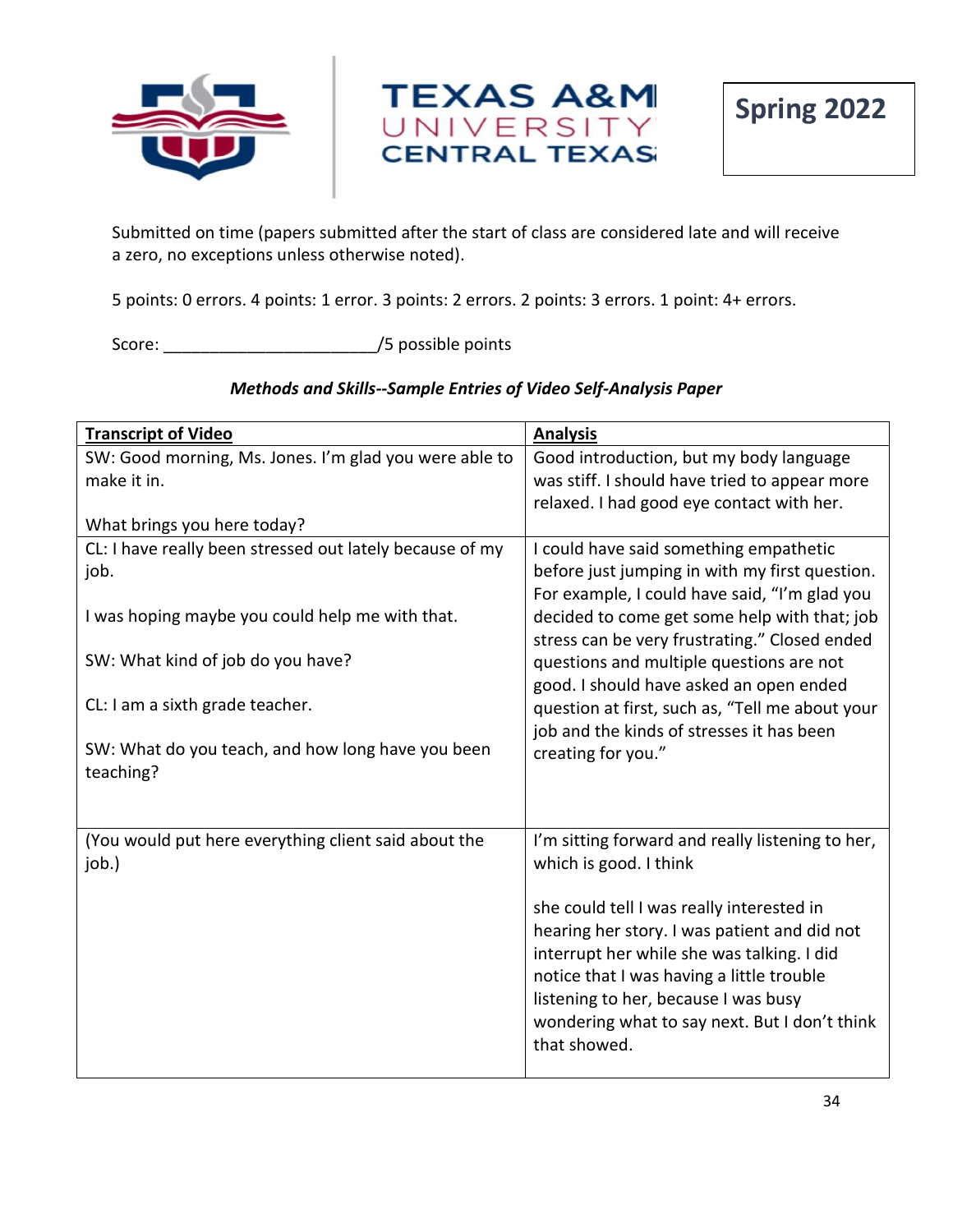



**Spring 2022**

Submitted on time (papers submitted after the start of class are considered late and will receive a zero, no exceptions unless otherwise noted).

5 points: 0 errors. 4 points: 1 error. 3 points: 2 errors. 2 points: 3 errors. 1 point: 4+ errors.

Score:  $/5$  possible points

# *Methods and Skills--Sample Entries of Video Self-Analysis Paper*

| <b>Transcript of Video</b>                                            | <b>Analysis</b>                                                                                                                                                                                                                                                                               |
|-----------------------------------------------------------------------|-----------------------------------------------------------------------------------------------------------------------------------------------------------------------------------------------------------------------------------------------------------------------------------------------|
| SW: Good morning, Ms. Jones. I'm glad you were able to<br>make it in. | Good introduction, but my body language<br>was stiff. I should have tried to appear more<br>relaxed. I had good eye contact with her.                                                                                                                                                         |
| What brings you here today?                                           |                                                                                                                                                                                                                                                                                               |
| CL: I have really been stressed out lately because of my<br>job.      | I could have said something empathetic<br>before just jumping in with my first question.<br>For example, I could have said, "I'm glad you                                                                                                                                                     |
| I was hoping maybe you could help me with that.                       | decided to come get some help with that; job<br>stress can be very frustrating." Closed ended                                                                                                                                                                                                 |
| SW: What kind of job do you have?                                     | questions and multiple questions are not<br>good. I should have asked an open ended                                                                                                                                                                                                           |
| CL: I am a sixth grade teacher.                                       | question at first, such as, "Tell me about your<br>job and the kinds of stresses it has been                                                                                                                                                                                                  |
| SW: What do you teach, and how long have you been<br>teaching?        | creating for you."                                                                                                                                                                                                                                                                            |
| (You would put here everything client said about the<br>job.)         | I'm sitting forward and really listening to her,<br>which is good. I think                                                                                                                                                                                                                    |
|                                                                       | she could tell I was really interested in<br>hearing her story. I was patient and did not<br>interrupt her while she was talking. I did<br>notice that I was having a little trouble<br>listening to her, because I was busy<br>wondering what to say next. But I don't think<br>that showed. |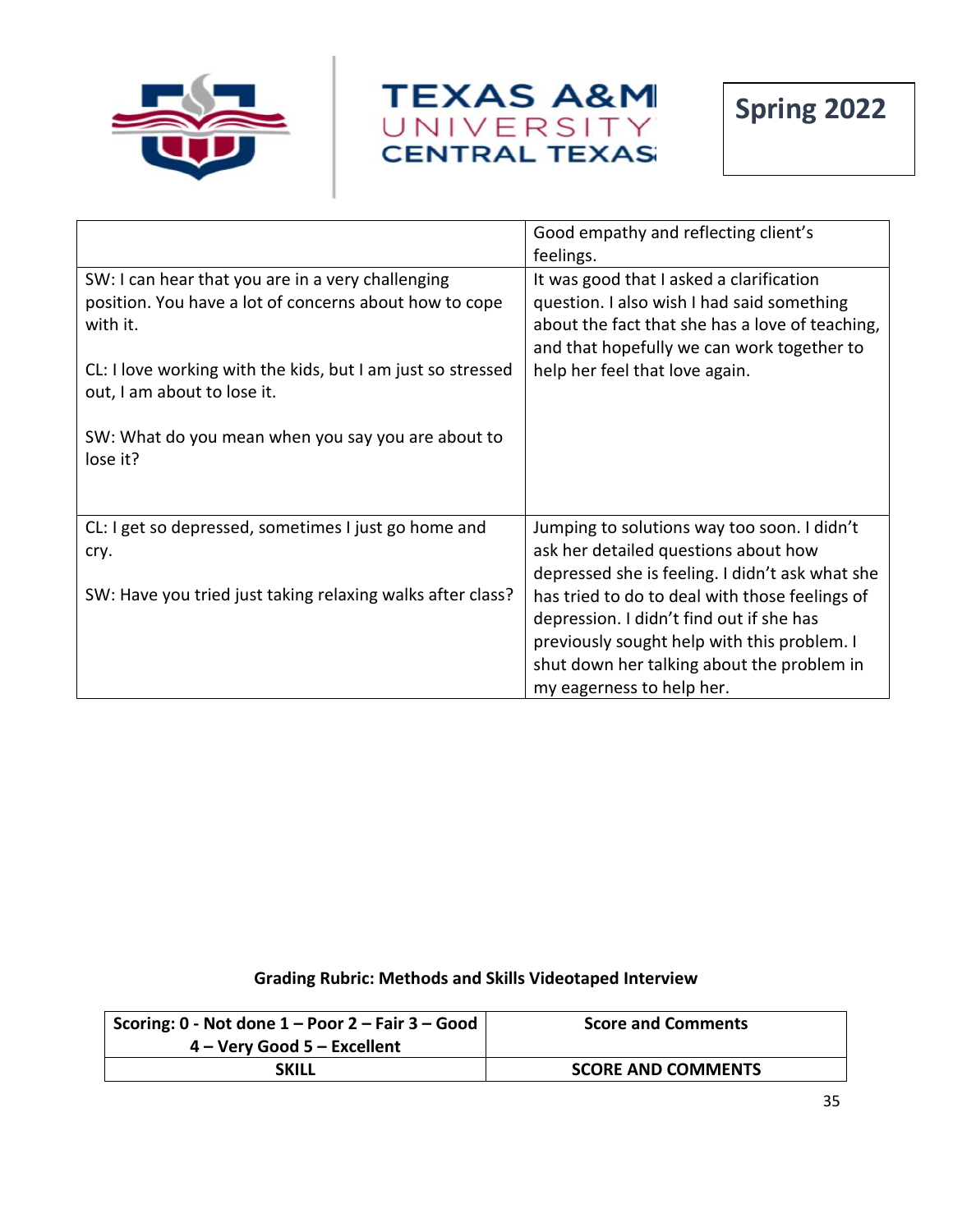



|                                                                                                                                                                                                                                                                                         | Good empathy and reflecting client's                                                                                                                                                                                                                                                                                              |
|-----------------------------------------------------------------------------------------------------------------------------------------------------------------------------------------------------------------------------------------------------------------------------------------|-----------------------------------------------------------------------------------------------------------------------------------------------------------------------------------------------------------------------------------------------------------------------------------------------------------------------------------|
| SW: I can hear that you are in a very challenging<br>position. You have a lot of concerns about how to cope<br>with it.<br>CL: I love working with the kids, but I am just so stressed<br>out, I am about to lose it.<br>SW: What do you mean when you say you are about to<br>lose it? | feelings.<br>It was good that I asked a clarification<br>question. I also wish I had said something<br>about the fact that she has a love of teaching,<br>and that hopefully we can work together to<br>help her feel that love again.                                                                                            |
| CL: I get so depressed, sometimes I just go home and<br>cry.<br>SW: Have you tried just taking relaxing walks after class?                                                                                                                                                              | Jumping to solutions way too soon. I didn't<br>ask her detailed questions about how<br>depressed she is feeling. I didn't ask what she<br>has tried to do to deal with those feelings of<br>depression. I didn't find out if she has<br>previously sought help with this problem. I<br>shut down her talking about the problem in |
|                                                                                                                                                                                                                                                                                         | my eagerness to help her.                                                                                                                                                                                                                                                                                                         |

## **Grading Rubric: Methods and Skills Videotaped Interview**

| Scoring: $0$ - Not done $1 -$ Poor $2 -$ Fair $3 -$ Good | <b>Score and Comments</b> |
|----------------------------------------------------------|---------------------------|
| 4 – Very Good 5 – Excellent                              |                           |
| <b>SKILL</b>                                             | <b>SCORE AND COMMENTS</b> |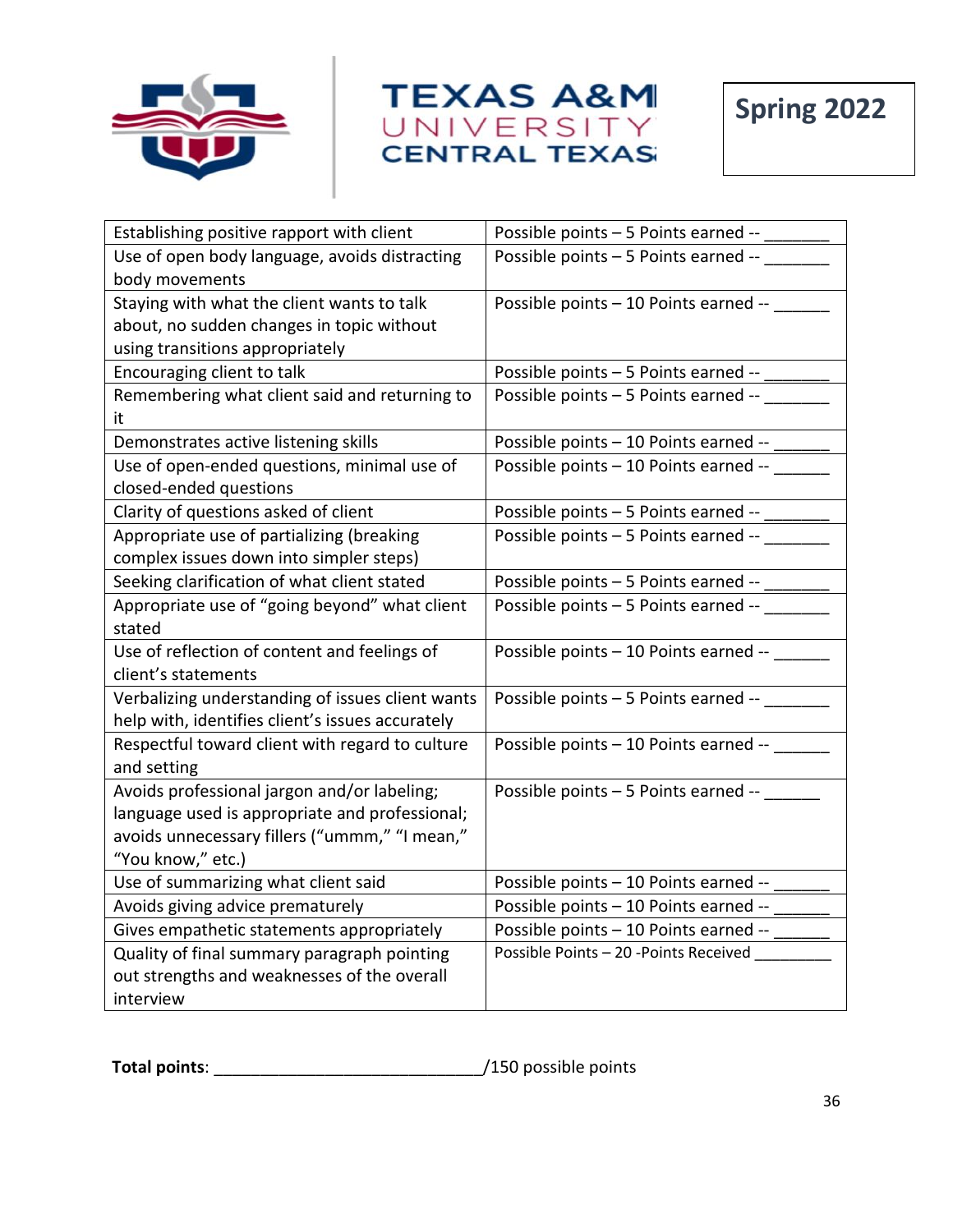





| Establishing positive rapport with client        | Possible points - 5 Points earned --   |
|--------------------------------------------------|----------------------------------------|
| Use of open body language, avoids distracting    | Possible points - 5 Points earned --   |
| body movements                                   |                                        |
| Staying with what the client wants to talk       | Possible points - 10 Points earned --  |
| about, no sudden changes in topic without        |                                        |
| using transitions appropriately                  |                                        |
| Encouraging client to talk                       | Possible points - 5 Points earned --   |
| Remembering what client said and returning to    | Possible points - 5 Points earned --   |
| it                                               |                                        |
| Demonstrates active listening skills             | Possible points - 10 Points earned --  |
| Use of open-ended questions, minimal use of      | Possible points - 10 Points earned --  |
| closed-ended questions                           |                                        |
| Clarity of questions asked of client             | Possible points - 5 Points earned --   |
| Appropriate use of partializing (breaking        | Possible points - 5 Points earned --   |
| complex issues down into simpler steps)          |                                        |
| Seeking clarification of what client stated      | Possible points - 5 Points earned --   |
| Appropriate use of "going beyond" what client    | Possible points - 5 Points earned --   |
| stated                                           |                                        |
| Use of reflection of content and feelings of     | Possible points - 10 Points earned --  |
| client's statements                              |                                        |
| Verbalizing understanding of issues client wants | Possible points - 5 Points earned --   |
| help with, identifies client's issues accurately |                                        |
| Respectful toward client with regard to culture  | Possible points - 10 Points earned --  |
| and setting                                      |                                        |
| Avoids professional jargon and/or labeling;      | Possible points - 5 Points earned --   |
| language used is appropriate and professional;   |                                        |
| avoids unnecessary fillers ("ummm," "I mean,"    |                                        |
| "You know," etc.)                                |                                        |
| Use of summarizing what client said              | Possible points - 10 Points earned --  |
| Avoids giving advice prematurely                 | Possible points - 10 Points earned --  |
| Gives empathetic statements appropriately        | Possible points - 10 Points earned --  |
| Quality of final summary paragraph pointing      | Possible Points - 20 - Points Received |
| out strengths and weaknesses of the overall      |                                        |
| interview                                        |                                        |

**Total points**: \_\_\_\_\_\_\_\_\_\_\_\_\_\_\_\_\_\_\_\_\_\_\_\_\_\_\_\_\_/150 possible points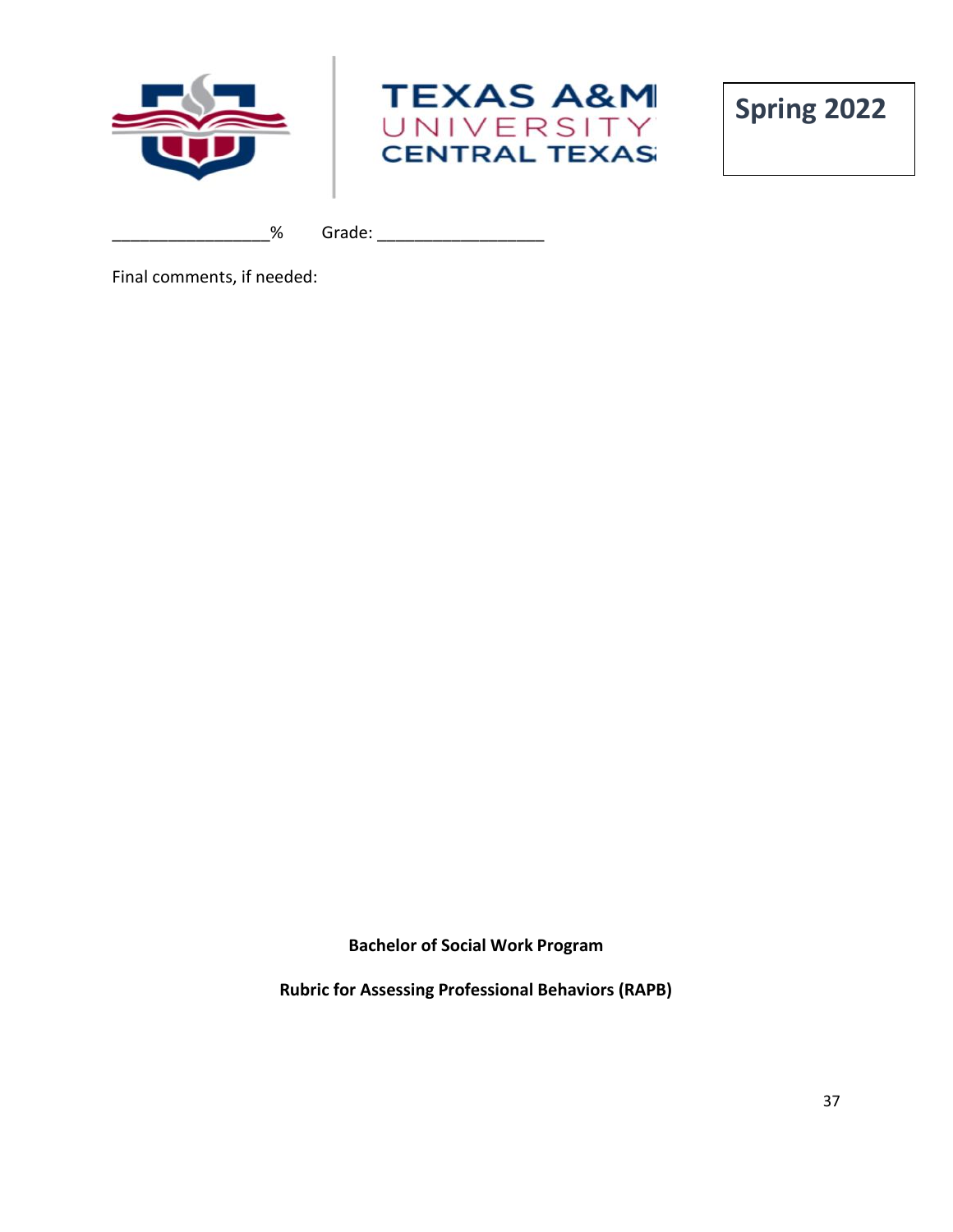



\_\_\_\_\_\_\_\_\_\_\_\_\_\_\_\_\_% Grade: \_\_\_\_\_\_\_\_\_\_\_\_\_\_\_\_\_\_

Final comments, if needed:

**Bachelor of Social Work Program**

**Rubric for Assessing Professional Behaviors (RAPB)**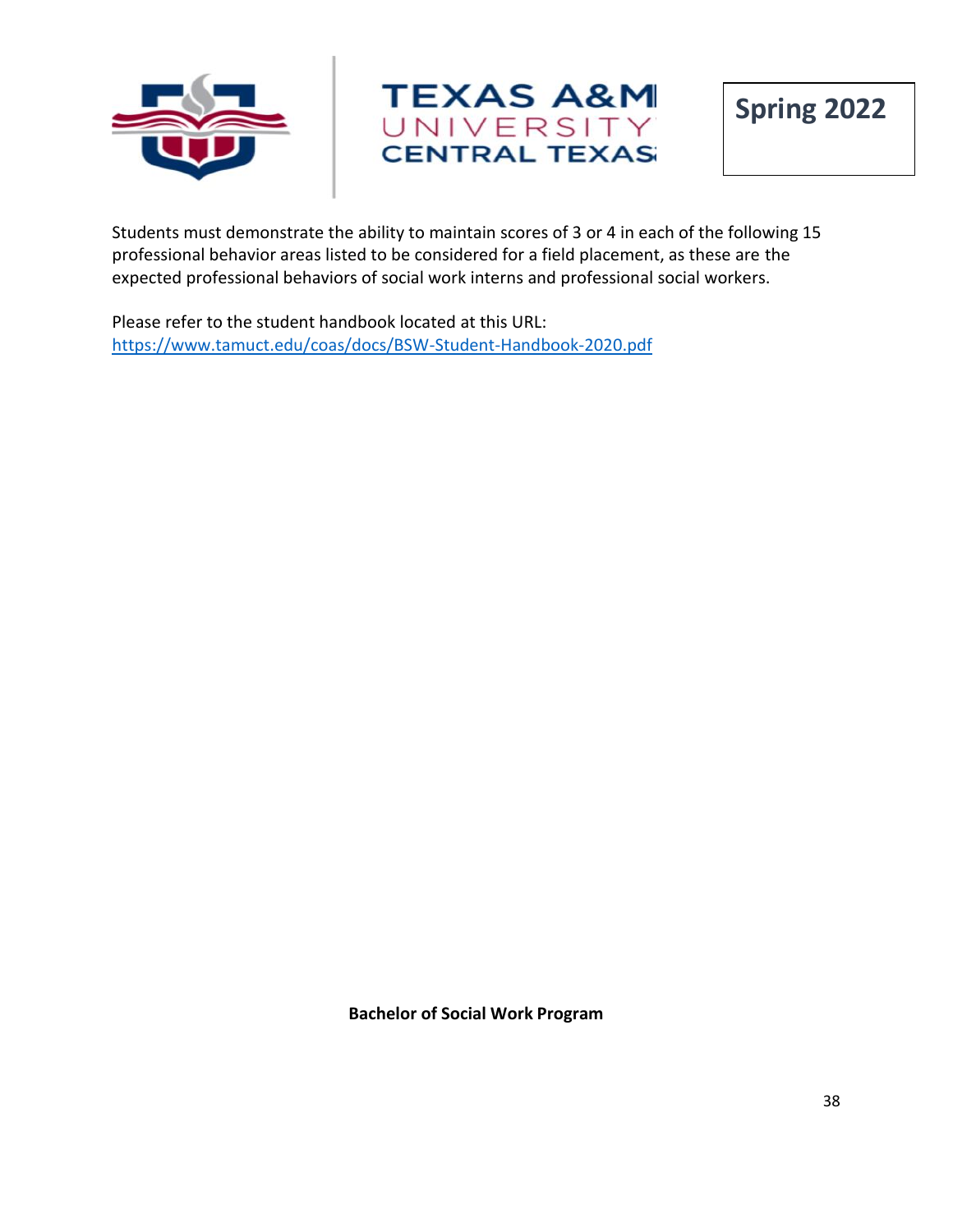





Students must demonstrate the ability to maintain scores of 3 or 4 in each of the following 15 professional behavior areas listed to be considered for a field placement, as these are the expected professional behaviors of social work interns and professional social workers.

Please refer to the student handbook located at this URL: <https://www.tamuct.edu/coas/docs/BSW-Student-Handbook-2020.pdf>

**Bachelor of Social Work Program**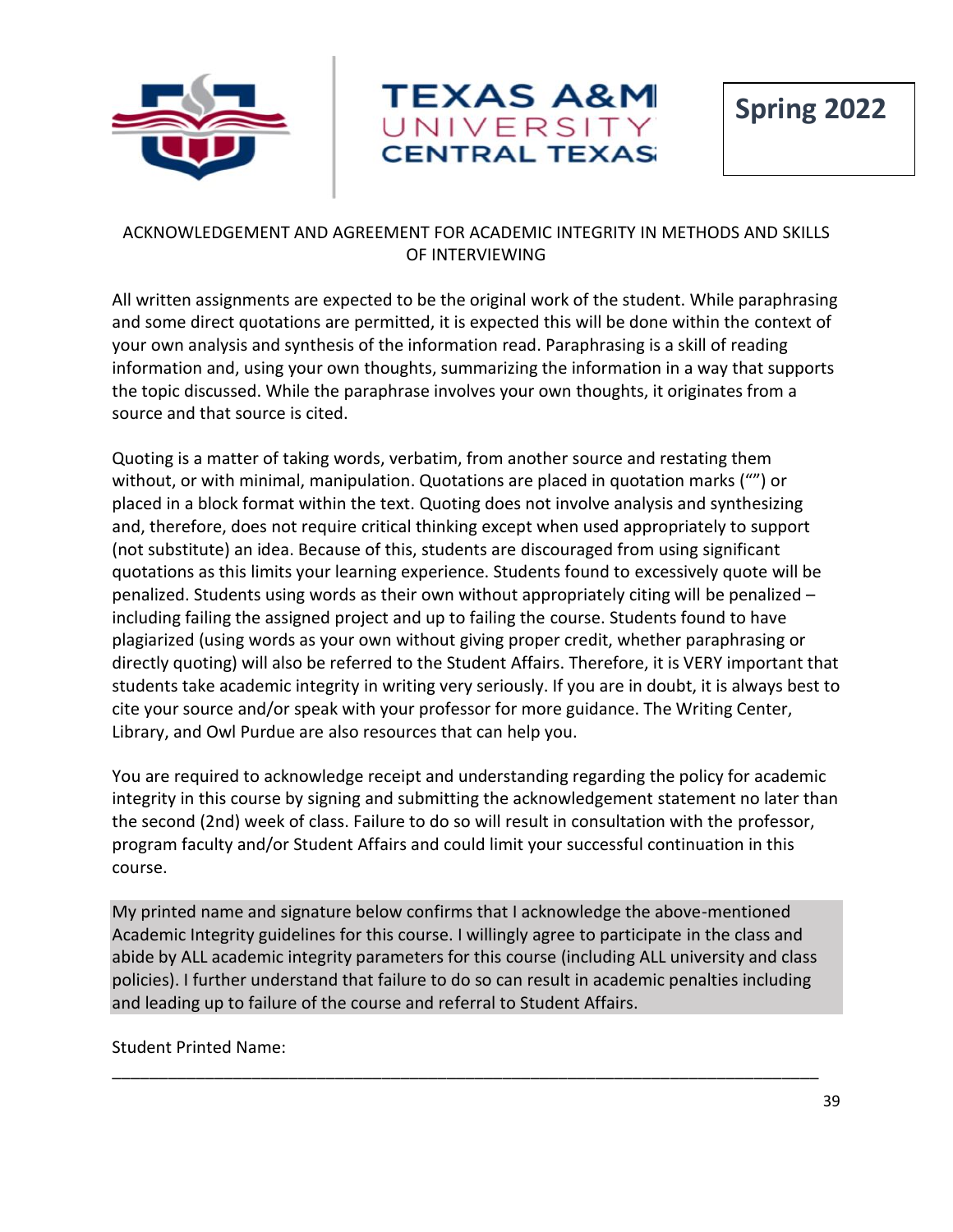



## ACKNOWLEDGEMENT AND AGREEMENT FOR ACADEMIC INTEGRITY IN METHODS AND SKILLS OF INTERVIEWING

All written assignments are expected to be the original work of the student. While paraphrasing and some direct quotations are permitted, it is expected this will be done within the context of your own analysis and synthesis of the information read. Paraphrasing is a skill of reading information and, using your own thoughts, summarizing the information in a way that supports the topic discussed. While the paraphrase involves your own thoughts, it originates from a source and that source is cited.

Quoting is a matter of taking words, verbatim, from another source and restating them without, or with minimal, manipulation. Quotations are placed in quotation marks ("") or placed in a block format within the text. Quoting does not involve analysis and synthesizing and, therefore, does not require critical thinking except when used appropriately to support (not substitute) an idea. Because of this, students are discouraged from using significant quotations as this limits your learning experience. Students found to excessively quote will be penalized. Students using words as their own without appropriately citing will be penalized – including failing the assigned project and up to failing the course. Students found to have plagiarized (using words as your own without giving proper credit, whether paraphrasing or directly quoting) will also be referred to the Student Affairs. Therefore, it is VERY important that students take academic integrity in writing very seriously. If you are in doubt, it is always best to cite your source and/or speak with your professor for more guidance. The Writing Center, Library, and Owl Purdue are also resources that can help you.

You are required to acknowledge receipt and understanding regarding the policy for academic integrity in this course by signing and submitting the acknowledgement statement no later than the second (2nd) week of class. Failure to do so will result in consultation with the professor, program faculty and/or Student Affairs and could limit your successful continuation in this course.

My printed name and signature below confirms that I acknowledge the above-mentioned Academic Integrity guidelines for this course. I willingly agree to participate in the class and abide by ALL academic integrity parameters for this course (including ALL university and class policies). I further understand that failure to do so can result in academic penalties including and leading up to failure of the course and referral to Student Affairs.

\_\_\_\_\_\_\_\_\_\_\_\_\_\_\_\_\_\_\_\_\_\_\_\_\_\_\_\_\_\_\_\_\_\_\_\_\_\_\_\_\_\_\_\_\_\_\_\_\_\_\_\_\_\_\_\_\_\_\_\_\_\_\_\_\_\_\_\_\_\_\_\_\_\_\_\_

Student Printed Name: